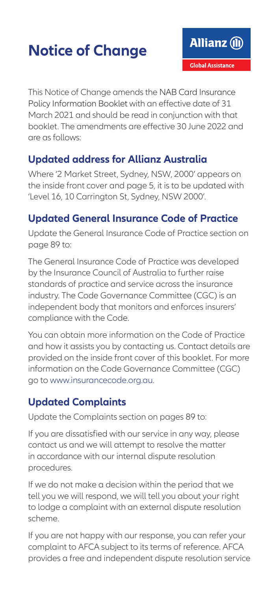## **Notice of Change**

This Notice of Change amends the NAB Card Insurance Policy Information Booklet with an effective date of 31 March 2021 and should be read in conjunction with that booklet. The amendments are effective 30 June 2022 and are as follows:

## **Updated address for Allianz Australia**

Where '2 Market Street, Sydney, NSW, 2000' appears on the inside front cover and page 5, it is to be updated with 'Level 16, 10 Carrington St, Sydney, NSW 2000'.

## **Updated General Insurance Code of Practice**

Update the General Insurance Code of Practice section on page 89 to:

The General Insurance Code of Practice was developed by the Insurance Council of Australia to further raise standards of practice and service across the insurance industry. The Code Governance Committee (CGC) is an independent body that monitors and enforces insurers' compliance with the Code.

You can obtain more information on the Code of Practice and how it assists you by contacting us. Contact details are provided on the inside front cover of this booklet. For more information on the Code Governance Committee (CGC) go to www.insurancecode.org.au.

## **Updated Complaints**

Update the Complaints section on pages 89 to:

If you are dissatisfied with our service in any way, please contact us and we will attempt to resolve the matter in accordance with our internal dispute resolution procedures.

If we do not make a decision within the period that we tell you we will respond, we will tell you about your right to lodge a complaint with an external dispute resolution scheme.

If you are not happy with our response, you can refer your complaint to AFCA subject to its terms of reference. AFCA provides a free and independent dispute resolution service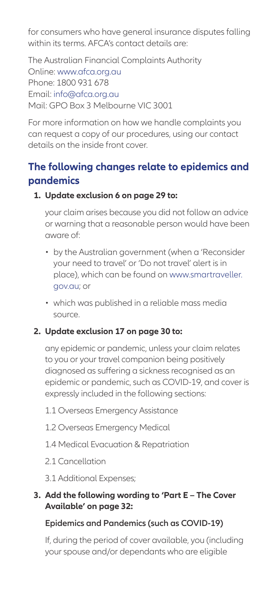for consumers who have general insurance disputes falling within its terms. AFCA's contact details are:

The Australian Financial Complaints Authority Online: [www.afca.org.au](http://www.afca.org.au) Phone: 1800 931 678 Email: [info@afca.org.au](mailto:info%40afca.org.au?subject=) Mail: GPO Box 3 Melbourne VIC 3001

For more information on how we handle complaints you can request a copy of our procedures, using our contact details on the inside front cover.

## **The following changes relate to epidemics and pandemics**

#### **1. Update exclusion 6 on page 29 to:**

your claim arises because you did not follow an advice or warning that a reasonable person would have been aware of:

- by the Australian government (when a 'Reconsider your need to travel' or 'Do not travel' alert is in place), which can be found on [www.smartraveller.](http://www.smartraveller.gov.au) [gov.au;](http://www.smartraveller.gov.au) or
- which was published in a reliable mass media source.

### **2. Update exclusion 17 on page 30 to:**

any epidemic or pandemic, unless your claim relates to you or your travel companion being positively diagnosed as suffering a sickness recognised as an epidemic or pandemic, such as COVID-19, and cover is expressly included in the following sections:

- 1.1 Overseas Emergency Assistance
- 1.2 Overseas Emergency Medical
- 1.4 Medical Evacuation & Repatriation
- 2.1 Cancellation
- 3.1 Additional Expenses;

#### **3. Add the following wording to 'Part E – The Cover Available' on page 32:**

### **Epidemics and Pandemics (such as COVID-19)**

If, during the period of cover available, you (including your spouse and/or dependants who are eligible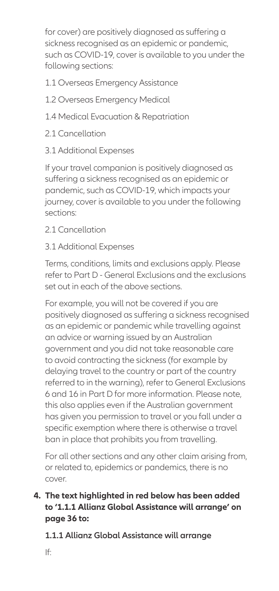for cover) are positively diagnosed as suffering a sickness recognised as an epidemic or pandemic, such as COVID-19, cover is available to you under the following sections:

- 1.1 Overseas Emergency Assistance
- 1.2 Overseas Emergency Medical
- 1.4 Medical Evacuation & Repatriation
- 2.1 Cancellation
- 3.1 Additional Expenses

If your travel companion is positively diagnosed as suffering a sickness recognised as an epidemic or pandemic, such as COVID-19, which impacts your journey, cover is available to you under the following sections:

2.1 Cancellation

### 3.1 Additional Expenses

Terms, conditions, limits and exclusions apply. Please refer to Part D - General Exclusions and the exclusions set out in each of the above sections.

For example, you will not be covered if you are positively diagnosed as suffering a sickness recognised as an epidemic or pandemic while travelling against an advice or warning issued by an Australian government and you did not take reasonable care to avoid contracting the sickness (for example by delaying travel to the country or part of the country referred to in the warning), refer to General Exclusions 6 and 16 in Part D for more information. Please note, this also applies even if the Australian government has given you permission to travel or you fall under a specific exemption where there is otherwise a travel ban in place that prohibits you from travelling.

For all other sections and any other claim arising from, or related to, epidemics or pandemics, there is no cover.

### **4. The text highlighted in red below has been added to '1.1.1 Allianz Global Assistance will arrange' on page 36 to:**

**1.1.1 Allianz Global Assistance will arrange** 

If: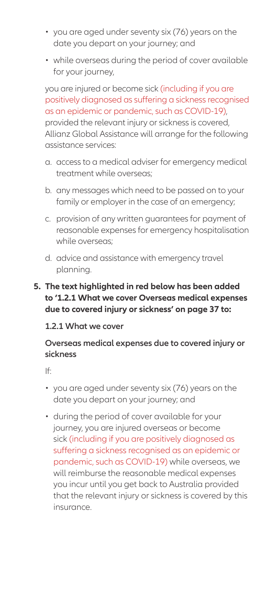- you are aged under seventy six (76) years on the date you depart on your journey; and
- while overseas during the period of cover available for your journey,

you are injured or become sick (including if you are positively diagnosed as suffering a sickness recognised as an epidemic or pandemic, such as COVID-19), provided the relevant injury or sickness is covered, Allianz Global Assistance will arrange for the following assistance services:

- a. access to a medical adviser for emergency medical treatment while overseas;
- b. any messages which need to be passed on to your family or employer in the case of an emergency;
- c. provision of any written guarantees for payment of reasonable expenses for emergency hospitalisation while overseas;
- d. advice and assistance with emergency travel planning.

#### **5. The text highlighted in red below has been added to '1.2.1 What we cover Overseas medical expenses due to covered injury or sickness' on page 37 to:**

#### **1.2.1 What we cover**

#### **Overseas medical expenses due to covered injury or sickness**

If:

- you are aged under seventy six (76) years on the date you depart on your journey; and
- during the period of cover available for your journey, you are injured overseas or become sick (including if you are positively diagnosed as suffering a sickness recognised as an epidemic or pandemic, such as COVID-19) while overseas, we will reimburse the reasonable medical expenses you incur until you get back to Australia provided that the relevant injury or sickness is covered by this insurance.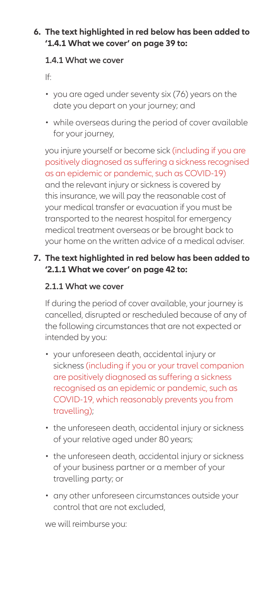### **6. The text highlighted in red below has been added to '1.4.1 What we cover' on page 39 to:**

#### **1.4.1 What we cover**

If:

- you are aged under seventy six (76) years on the date you depart on your journey; and
- while overseas during the period of cover available for your journey,

you injure yourself or become sick (including if you are positively diagnosed as suffering a sickness recognised as an epidemic or pandemic, such as COVID-19) and the relevant injury or sickness is covered by this insurance, we will pay the reasonable cost of your medical transfer or evacuation if you must be transported to the nearest hospital for emergency medical treatment overseas or be brought back to your home on the written advice of a medical adviser.

#### **7. The text highlighted in red below has been added to '2.1.1 What we cover' on page 42 to:**

#### **2.1.1 What we cover**

If during the period of cover available, your journey is cancelled, disrupted or rescheduled because of any of the following circumstances that are not expected or intended by you:

- your unforeseen death, accidental injury or sickness (including if you or your travel companion are positively diagnosed as suffering a sickness recognised as an epidemic or pandemic, such as COVID-19, which reasonably prevents you from travelling);
- the unforeseen death, accidental injury or sickness of your relative aged under 80 years;
- the unforeseen death, accidental injury or sickness of your business partner or a member of your travelling party; or
- any other unforeseen circumstances outside your control that are not excluded,

we will reimburse you: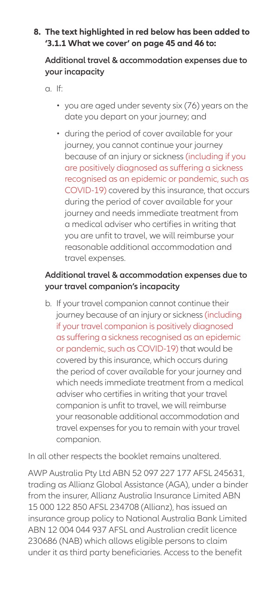#### **8. The text highlighted in red below has been added to '3.1.1 What we cover' on page 45 and 46 to:**

#### **Additional travel & accommodation expenses due to your incapacity**

a. If:

- you are aged under seventy six (76) years on the date you depart on your journey; and
- during the period of cover available for your journey, you cannot continue your journey because of an injury or sickness (including if you are positively diagnosed as suffering a sickness recognised as an epidemic or pandemic, such as COVID-19) covered by this insurance, that occurs during the period of cover available for your journey and needs immediate treatment from a medical adviser who certifies in writing that you are unfit to travel, we will reimburse your reasonable additional accommodation and travel expenses.

### **Additional travel & accommodation expenses due to your travel companion's incapacity**

b. If your travel companion cannot continue their journey because of an injury or sickness (including if your travel companion is positively diagnosed as suffering a sickness recognised as an epidemic or pandemic, such as COVID-19) that would be covered by this insurance, which occurs during the period of cover available for your journey and which needs immediate treatment from a medical adviser who certifies in writing that your travel companion is unfit to travel, we will reimburse your reasonable additional accommodation and travel expenses for you to remain with your travel companion.

In all other respects the booklet remains unaltered.

AWP Australia Pty Ltd ABN 52 097 227 177 AFSL 245631, trading as Allianz Global Assistance (AGA), under a binder from the insurer, Allianz Australia Insurance Limited ABN 15 000 122 850 AFSL 234708 (Allianz), has issued an insurance group policy to National Australia Bank Limited ABN 12 004 044 937 AFSL and Australian credit licence 230686 (NAB) which allows eligible persons to claim under it as third party beneficiaries. Access to the benefit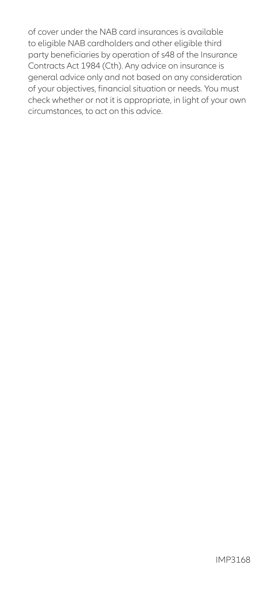of cover under the NAB card insurances is available to eligible NAB cardholders and other eligible third party beneficiaries by operation of s48 of the Insurance Contracts Act 1984 (Cth). Any advice on insurance is general advice only and not based on any consideration of your objectives, financial situation or needs. You must check whether or not it is appropriate, in light of your own circumstances, to act on this advice.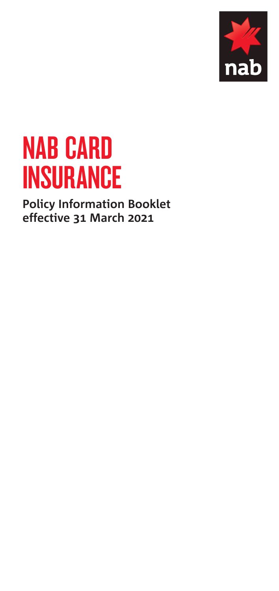

# NAB CARD **INSURANCE**

**Policy Information Booklet effective 31 March 2021**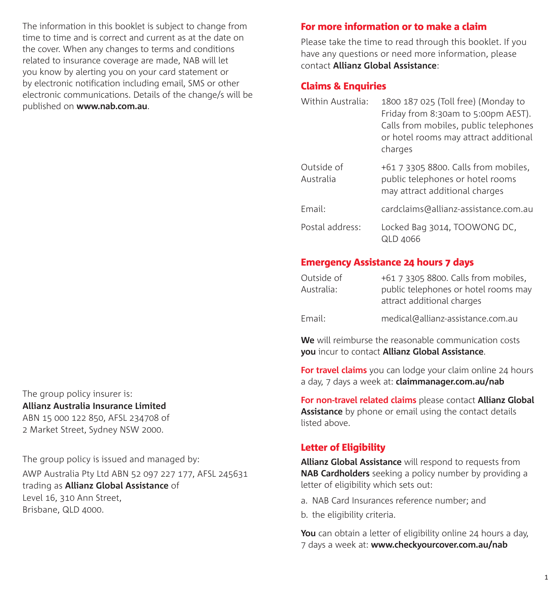The information in this booklet is subject to change from time to time and is correct and current as at the date on the cover. When any changes to terms and conditions related to insurance coverage are made, NAB will let you know by alerting you on your card statement or by electronic notification including email, SMS or other electronic communications. Details of the change/s will be published on **[www.nab.com.au](http://www.nab.com.au)**.

For more information or to make a claim

Please take the time to read through this booklet. If you have any questions or need more information, please contact **Allianz Global Assistance**:

### Claims & Enquiries

| Within Australia:       | 1800 187 025 (Toll free) (Monday to<br>Friday from 8:30am to 5:00pm AEST).<br>Calls from mobiles, public telephones<br>or hotel rooms may attract additional<br>charges |
|-------------------------|-------------------------------------------------------------------------------------------------------------------------------------------------------------------------|
| Outside of<br>Australia | +61 7 3305 8800. Calls from mobiles,<br>public telephones or hotel rooms<br>may attract additional charges                                                              |
| Fmail:                  | cardclaims@allianz-assistance.com.au                                                                                                                                    |
| Postal address:         | Locked Bag 3014, TOOWONG DC,<br>QLD 4066                                                                                                                                |

## Emergency Assistance 24 hours 7 days

| Outside of<br>Australia: | +61 7 3305 8800. Calls from mobiles,<br>public telephones or hotel rooms may<br>attract additional charges |
|--------------------------|------------------------------------------------------------------------------------------------------------|
| Email:                   | medical@allianz-assistance.com.au                                                                          |

**We** will reimburse the reasonable communication costs **you** incur to contact **Allianz Global Assistance**.

**For travel claims** you can lodge your claim online 24 hours a day, 7 days a week at: **claimmanager.com.au/nab**

**For non-travel related claims** please contact **Allianz Global Assistance** by phone or email using the contact details listed above.

## Letter of Eligibility

**Allianz Global Assistance** will respond to requests from **NAB Cardholders** seeking a policy number by providing a letter of eligibility which sets out:

- a.NAB Card Insurances reference number; and
- b.the eligibility criteria.

You can obtain a letter of eligibility online 24 hours a day, 7 days a week at: **www.checkyourcover.com.au/nab**

The group policy insurer is: **Allianz Australia Insurance Limited** ABN 15 000 122 850, AFSL 234708 of 2 Market Street, Sydney NSW 2000.

The group policy is issued and managed by:

AWP Australia Pty Ltd ABN 52 097 227 177, AFSL 245631 trading as **Allianz Global Assistance** of Level 16, 310 Ann Street, Brisbane, QLD 4000.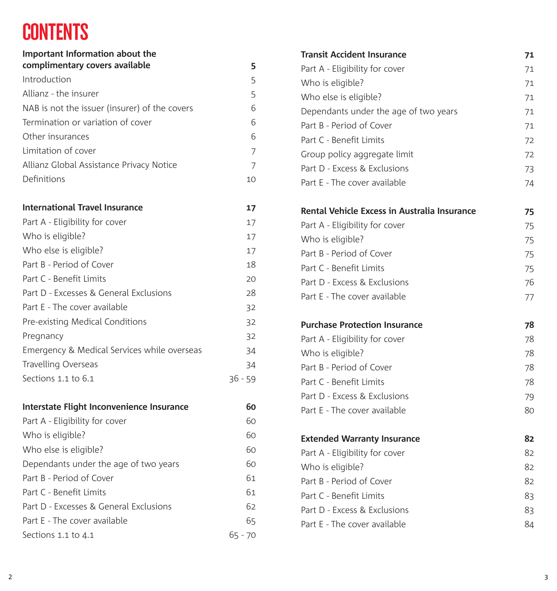# **CONTENTS**

| Important Information about the<br>complimentary covers available | 5         |
|-------------------------------------------------------------------|-----------|
| Introduction                                                      | 5         |
| Allianz - the insurer                                             | 5         |
| NAB is not the issuer (insurer) of the covers                     | 6         |
| Termination or variation of cover                                 | 6         |
| Other insurances                                                  | 6         |
| Limitation of cover                                               | 7         |
| Allianz Global Assistance Privacy Notice                          | 7         |
| Definitions                                                       | 10        |
| <b>International Travel Insurance</b>                             | 17        |
| Part A - Eligibility for cover                                    | 17        |
| Who is eligible?                                                  | 17        |
| Who else is eligible?                                             | 17        |
| Part B - Period of Cover                                          | 18        |
| Part C - Benefit Limits                                           | 20        |
| Part D - Excesses & General Exclusions                            | 28        |
| Part E - The cover available                                      | 32        |
| Pre-existing Medical Conditions                                   | 32        |
| Pregnancy                                                         | 32        |
| Emergency & Medical Services while overseas                       | 34        |
| Travelling Overseas                                               | 34        |
| Sections 1.1 to 6.1                                               | $36 - 59$ |
| Interstate Flight Inconvenience Insurance                         | 60        |
| Part A - Eligibility for cover                                    | 60        |
| Who is eligible?                                                  | 60        |
| Who else is eligible?                                             | 60        |
| Dependants under the age of two years                             | 60        |
| Part B - Period of Cover                                          | 61        |
| Part C - Benefit Limits                                           | 61        |
| Part D - Excesses & General Exclusions                            | 62        |
| Part E - The cover available                                      | 65        |
| Sections 1.1 to 4.1                                               | 65 - 70   |

| <b>Transit Accident Insurance</b>            | 71 |
|----------------------------------------------|----|
| Part A - Eligibility for cover               | 71 |
| Who is eligible?                             | 71 |
| Who else is eligible?                        | 71 |
| Dependants under the age of two years        | 71 |
| Part B - Period of Cover                     | 71 |
| Part C - Benefit Limits                      | 72 |
| Group policy aggregate limit                 | 72 |
| Part D - Excess & Exclusions                 | 73 |
| Part E - The cover available                 | 74 |
| Rental Vehicle Excess in Australia Insurance | 75 |
| Part A - Eligibility for cover               | 75 |
| Who is eligible?                             | 75 |
| Part B - Period of Cover                     | 75 |
| Part C - Benefit Limits                      | 75 |
| Part D - Excess & Exclusions                 | 76 |
| Part E - The cover available                 | 77 |
| <b>Purchase Protection Insurance</b>         | 78 |
| Part A - Eligibility for cover               | 78 |
| Who is eligible?                             | 78 |
| Part B - Period of Cover                     | 78 |
| Part C - Benefit Limits                      | 78 |
| Part D - Excess & Exclusions                 | 79 |
| Part E - The cover available                 | 80 |
| <b>Extended Warranty Insurance</b>           | 82 |
| Part A - Eligibility for cover               | 82 |
| Who is eligible?                             | 82 |
| Part B - Period of Cover                     | 82 |
| Part C - Benefit Limits                      | 83 |
| Part D - Excess & Exclusions                 | 83 |
| Part E - The cover available                 | 84 |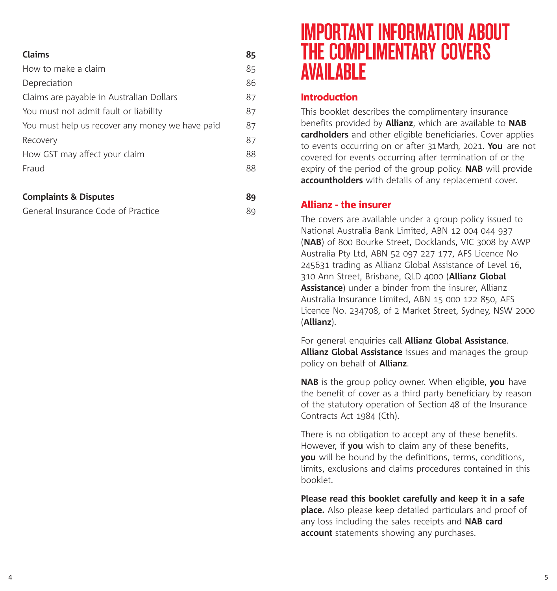| <b>Claims</b>                                   | 85 |
|-------------------------------------------------|----|
| How to make a claim                             | 85 |
| Depreciation                                    | 86 |
| Claims are payable in Australian Dollars        | 87 |
| You must not admit fault or liability           | 87 |
| You must help us recover any money we have paid | 87 |
| Recovery                                        | 87 |
| How GST may affect your claim                   | 88 |
| Fraud                                           | 88 |
|                                                 |    |

## **Complaints & Disputes 89**

| General Insurance Code of Practice |  |
|------------------------------------|--|
|------------------------------------|--|

## IMPORTANT INFORMATION ABOUT THE COMPLIMENTARY COVERS AVAILABLE

## Introduction

This booklet describes the complimentary insurance benefits provided by **Allianz**, which are available to **NAB cardholders** and other eligible beneficiaries. Cover applies to events occurring on or after 31March, 2021. **You** are not covered for events occurring after termination of or the expiry of the period of the group policy. **NAB** will provide **accountholders** with details of any replacement cover.

## Allianz - the insurer

The covers are available under a group policy issued to National Australia Bank Limited, ABN 12 004 044 937 (**NAB**) of 800 Bourke Street, Docklands, VIC 3008 by AWP Australia Pty Ltd, ABN 52 097 227 177, AFS Licence No 245631 trading as Allianz Global Assistance of Level 16, 310 Ann Street, Brisbane, QLD 4000 (**Allianz Global Assistance**) under a binder from the insurer, Allianz Australia Insurance Limited, ABN 15 000 122 850, AFS Licence No. 234708, of 2 Market Street, Sydney, NSW 2000 (**Allianz**).

For general enquiries call **Allianz Global Assistance**. **Allianz Global Assistance** issues and manages the group policy on behalf of **Allianz**.

**NAB** is the group policy owner. When eligible, **you** have the benefit of cover as a third party beneficiary by reason of the statutory operation of Section 48 of the Insurance Contracts Act 1984 (Cth).

There is no obligation to accept any of these benefits. However, if **you** wish to claim any of these benefits, **you** will be bound by the definitions, terms, conditions, limits, exclusions and claims procedures contained in this booklet.

**Please read this booklet carefully and keep it in a safe place.** Also please keep detailed particulars and proof of any loss including the sales receipts and **NAB card account** statements showing any purchases.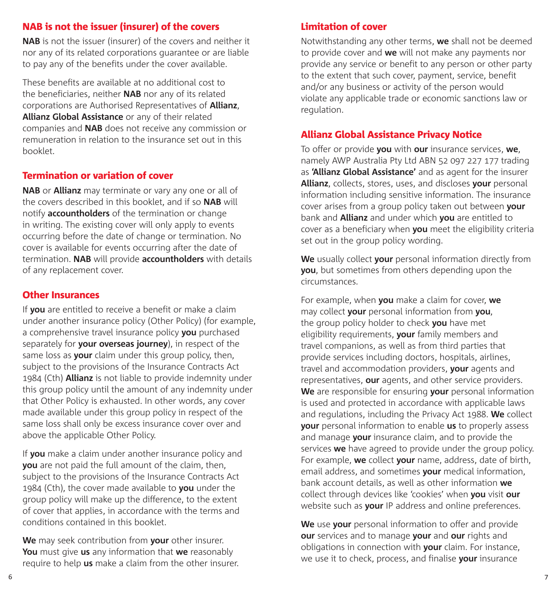### NAB is not the issuer (insurer) of the covers

**NAB** is not the issuer (insurer) of the covers and neither it nor any of its related corporations guarantee or are liable to pay any of the benefits under the cover available.

These benefits are available at no additional cost to the beneficiaries, neither **NAB** nor any of its related corporations are Authorised Representatives of **Allianz**, **Allianz Global Assistance** or any of their related companies and **NAB** does not receive any commission or remuneration in relation to the insurance set out in this booklet.

#### Termination or variation of cover

**NAB** or **Allianz** may terminate or vary any one or all of the covers described in this booklet, and if so **NAB** will notify **accountholders** of the termination or change in writing. The existing cover will only apply to events occurring before the date of change or termination. No cover is available for events occurring after the date of termination. **NAB** will provide **accountholders** with details of any replacement cover.

### Other Insurances

If **you** are entitled to receive a benefit or make a claim under another insurance policy (Other Policy) (for example, a comprehensive travel insurance policy **you** purchased separately for **your overseas journey**), in respect of the same loss as **your** claim under this group policy, then, subject to the provisions of the Insurance Contracts Act 1984 (Cth) **Allianz** is not liable to provide indemnity under this group policy until the amount of any indemnity under that Other Policy is exhausted. In other words, any cover made available under this group policy in respect of the same loss shall only be excess insurance cover over and above the applicable Other Policy.

If **you** make a claim under another insurance policy and **you** are not paid the full amount of the claim, then, subject to the provisions of the Insurance Contracts Act 1984 (Cth), the cover made available to **you** under the group policy will make up the difference, to the extent of cover that applies, in accordance with the terms and conditions contained in this booklet.

**We** may seek contribution from **your** other insurer. **You** must give **us** any information that **we** reasonably require to help **us** make a claim from the other insurer.

### Limitation of cover

Notwithstanding any other terms, **we** shall not be deemed to provide cover and **we** will not make any payments nor provide any service or benefit to any person or other party to the extent that such cover, payment, service, benefit and/or any business or activity of the person would violate any applicable trade or economic sanctions law or regulation.

#### Allianz Global Assistance Privacy Notice

To offer or provide **you** with **our** insurance services, **we**, namely AWP Australia Pty Ltd ABN 52 097 227 177 trading as **'Allianz Global Assistance'** and as agent for the insurer **Allianz**, collects, stores, uses, and discloses **your** personal information including sensitive information. The insurance cover arises from a group policy taken out between **your**  bank and **Allianz** and under which **you** are entitled to cover as a beneficiary when **you** meet the eligibility criteria set out in the group policy wording.

**We** usually collect **your** personal information directly from **you**, but sometimes from others depending upon the circumstances.

For example, when **you** make a claim for cover, **we**  may collect **your** personal information from **you**, the group policy holder to check **you** have met eligibility requirements, **your** family members and travel companions, as well as from third parties that provide services including doctors, hospitals, airlines, travel and accommodation providers, **your** agents and representatives, **our** agents, and other service providers. **We** are responsible for ensuring **your** personal information is used and protected in accordance with applicable laws and regulations, including the Privacy Act 1988. **We** collect **your** personal information to enable **us** to properly assess and manage **your** insurance claim, and to provide the services **we** have agreed to provide under the group policy. For example, **we** collect **your** name, address, date of birth, email address, and sometimes **your** medical information, bank account details, as well as other information **we**  collect through devices like 'cookies' when **you** visit **our**  website such as **your** IP address and online preferences.

**We** use **your** personal information to offer and provide **our** services and to manage **your** and **our** rights and obligations in connection with **your** claim. For instance, we use it to check, process, and finalise **your** insurance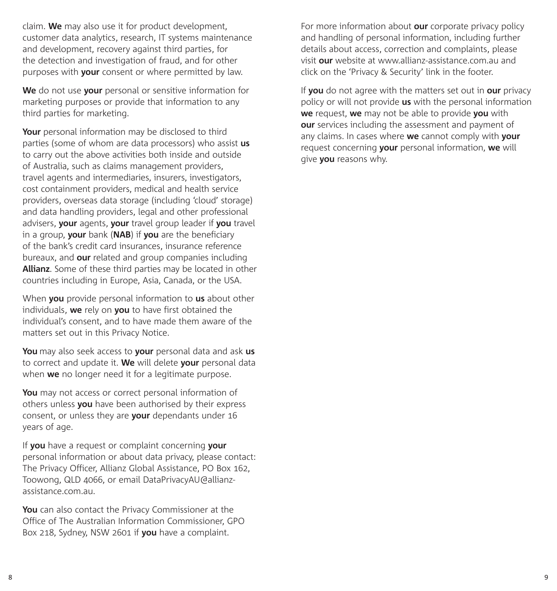claim. **We** may also use it for product development, customer data analytics, research, IT systems maintenance and development, recovery against third parties, for the detection and investigation of fraud, and for other purposes with **your** consent or where permitted by law.

**We** do not use **your** personal or sensitive information for marketing purposes or provide that information to any third parties for marketing.

**Your** personal information may be disclosed to third parties (some of whom are data processors) who assist **us** to carry out the above activities both inside and outside of Australia, such as claims management providers, travel agents and intermediaries, insurers, investigators, cost containment providers, medical and health service providers, overseas data storage (including 'cloud' storage) and data handling providers, legal and other professional advisers, **your** agents, **your** travel group leader if **you** travel in a group, **your** bank (**NAB**) if **you** are the beneficiary of the bank's credit card insurances, insurance reference bureaux, and **our** related and group companies including **Allianz**. Some of these third parties may be located in other countries including in Europe, Asia, Canada, or the USA.

When **you** provide personal information to **us** about other individuals, **we** rely on **you** to have first obtained the individual's consent, and to have made them aware of the matters set out in this Privacy Notice.

**You** may also seek access to **your** personal data and ask **us** to correct and update it. **We** will delete **your** personal data when **we** no longer need it for a legitimate purpose.

**You** may not access or correct personal information of others unless **you** have been authorised by their express consent, or unless they are **your** dependants under 16 years of age.

If **you** have a request or complaint concerning **your** personal information or about data privacy, please contact: The Privacy Officer, Allianz Global Assistance, PO Box 162, Toowong, QLD 4066, or email DataPrivacyAU@allianzassistance.com.au.

**You** can also contact the Privacy Commissioner at the Office of The Australian Information Commissioner, GPO Box 218, Sydney, NSW 2601 if **you** have a complaint.

For more information about **our** corporate privacy policy and handling of personal information, including further details about access, correction and complaints, please visit **our** website at www.allianz-assistance.com.au and click on the 'Privacy & Security' link in the footer.

If **you** do not agree with the matters set out in **our** privacy policy or will not provide **us** with the personal information **we** request, **we** may not be able to provide **you** with **our** services including the assessment and payment of any claims. In cases where **we** cannot comply with **your**  request concerning **your** personal information, **we** will give **you** reasons why.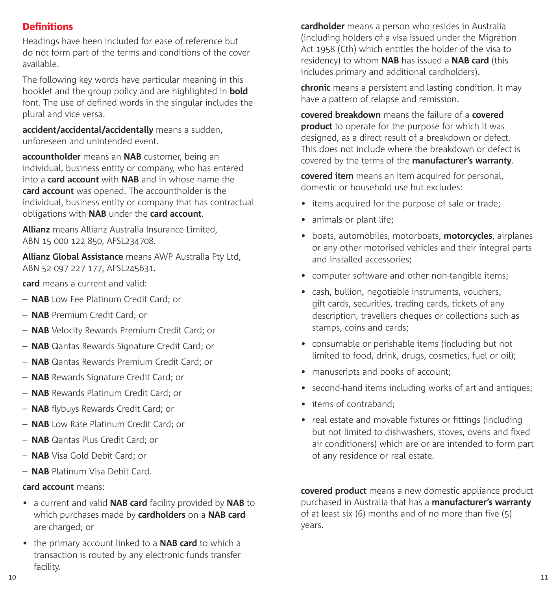## **Definitions**

Headings have been included for ease of reference but do not form part of the terms and conditions of the cover available.

The following key words have particular meaning in this booklet and the group policy and are highlighted in **bold** font. The use of defined words in the singular includes the plural and vice versa.

**accident/accidental/accidentally** means a sudden, unforeseen and unintended event.

**accountholder** means an **NAB** customer, being an individual, business entity or company, who has entered into a **card account** with **NAB** and in whose name the **card account** was opened. The accountholder is the individual, business entity or company that has contractual obligations with **NAB** under the **card account**.

**Allianz** means Allianz Australia Insurance Limited, ABN 15 000 122 850, AFSL234708.

**Allianz Global Assistance** means AWP Australia Pty Ltd, ABN 52 097 227 177, AFSL245631.

**card** means a current and valid:

- **NAB** Low Fee Platinum Credit Card; or
- **NAB** Premium Credit Card; or
- **NAB** Velocity Rewards Premium Credit Card; or
- **NAB** Qantas Rewards Signature Credit Card; or
- **NAB** Qantas Rewards Premium Credit Card; or
- **NAB** Rewards Signature Credit Card; or
- **NAB** Rewards Platinum Credit Card; or
- **NAB** flybuys Rewards Credit Card; or
- **NAB** Low Rate Platinum Credit Card; or
- **NAB** Qantas Plus Credit Card; or
- **NAB** Visa Gold Debit Card; or
- **NAB** Platinum Visa Debit Card.

#### **card account** means:

- a current and valid **NAB card** facility provided by **NAB** to which purchases made by **cardholders** on a **NAB card** are charged; or
- the primary account linked to a **NAB card** to which a transaction is routed by any electronic funds transfer facility.

**cardholder** means a person who resides in Australia (including holders of a visa issued under the Migration Act 1958 (Cth) which entitles the holder of the visa to residency) to whom **NAB** has issued a **NAB card** (this includes primary and additional cardholders).

**chronic** means a persistent and lasting condition. It may have a pattern of relapse and remission.

**covered breakdown** means the failure of a **covered product** to operate for the purpose for which it was designed, as a direct result of a breakdown or defect. This does not include where the breakdown or defect is covered by the terms of the **manufacturer's warranty**.

**covered item** means an item acquired for personal, domestic or household use but excludes:

- items acquired for the purpose of sale or trade;
- animals or plant life:
- boats, automobiles, motorboats, **motorcycles**, airplanes or any other motorised vehicles and their integral parts and installed accessories;
- computer software and other non-tangible items;
- cash, bullion, negotiable instruments, vouchers, gift cards, securities, trading cards, tickets of any description, travellers cheques or collections such as stamps, coins and cards;
- consumable or perishable items (including but not limited to food, drink, drugs, cosmetics, fuel or oil);
- manuscripts and books of account:
- second-hand items including works of art and antiques;
- items of contraband;
- real estate and movable fixtures or fittings (including but not limited to dishwashers, stoves, ovens and fixed air conditioners) which are or are intended to form part of any residence or real estate.

**covered product** means a new domestic appliance product purchased in Australia that has a **manufacturer's warranty** of at least six (6) months and of no more than five (5) years.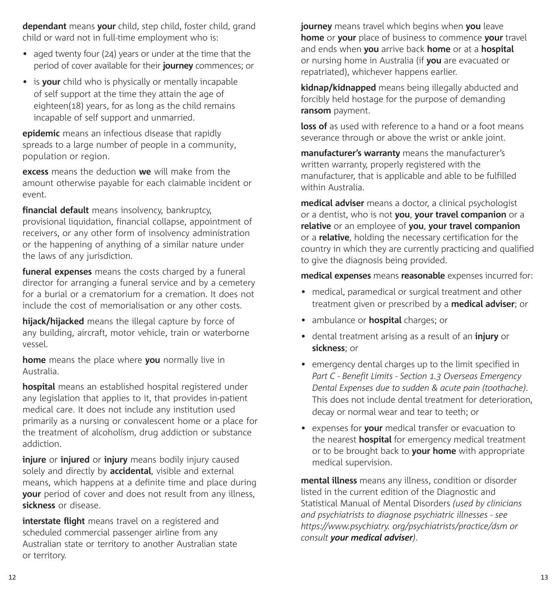**dependant** means **your** child, step child, foster child, grand child or ward not in full-time employment who is:

- aged twenty four (24) years or under at the time that the period of cover available for their **journey** commences; or
- is **your** child who is physically or mentally incapable of self support at the time they attain the age of eighteen(18) years, for as long as the child remains incapable of self support and unmarried.

**epidemic** means an infectious disease that rapidly spreads to a large number of people in a community, population or region.

**excess** means the deduction **we** will make from the amount otherwise payable for each claimable incident or event.

**financial default** means insolvency, bankruptcy, provisional liquidation, financial collapse, appointment of receivers, or any other form of insolvency administration or the happening of anything of a similar nature under the laws of any jurisdiction.

**funeral expenses** means the costs charged by a funeral director for arranging a funeral service and by a cemetery for a burial or a crematorium for a cremation. It does not include the cost of memorialisation or any other costs.

**hijack/hijacked** means the illegal capture by force of any building, aircraft, motor vehicle, train or waterborne vessel.

**home** means the place where **you** normally live in Australia.

**hospital** means an established hospital registered under any legislation that applies to it, that provides in-patient medical care. It does not include any institution used primarily as a nursing or convalescent home or a place for the treatment of alcoholism, drug addiction or substance addiction.

**injure** or **injured** or **injury** means bodily injury caused solely and directly by **accidental**, visible and external means, which happens at a definite time and place during **your** period of cover and does not result from any illness, **sickness** or disease.

**interstate flight** means travel on a registered and scheduled commercial passenger airline from any Australian state or territory to another Australian state or territory.

**journey** means travel which begins when **you** leave **home** or **your** place of business to commence **your** travel and ends when **you** arrive back **home** or at a **hospital** or nursing home in Australia (if **you** are evacuated or repatriated), whichever happens earlier.

**kidnap/kidnapped** means being illegally abducted and forcibly held hostage for the purpose of demanding **ransom** payment.

**loss of** as used with reference to a hand or a foot means severance through or above the wrist or ankle joint.

**manufacturer's warranty** means the manufacturer's written warranty, properly registered with the manufacturer, that is applicable and able to be fulfilled within Australia.

**medical adviser** means a doctor, a clinical psychologist or a dentist, who is not **you**, **your travel companion** or a **relative** or an employee of **you**, **your travel companion** or a **relative**, holding the necessary certification for the country in which they are currently practicing and qualified to give the diagnosis being provided.

**medical expenses** means **reasonable** expenses incurred for:

- medical, paramedical or surgical treatment and other treatment given or prescribed by a **medical adviser**; or
- ambulance or **hospital** charges; or
- dental treatment arising as a result of an **injury** or **sickness**; or
- emergency dental charges up to the limit specified in *Part C - Benefit Limits - Section 1.3 Overseas Emergency Dental Expenses due to sudden & acute pain (toothache)*. This does not include dental treatment for deterioration, decay or normal wear and tear to teeth; or
- expenses for **your** medical transfer or evacuation to the nearest **hospital** for emergency medical treatment or to be brought back to **your home** with appropriate medical supervision.

**mental illness** means any illness, condition or disorder listed in the current edition of the Diagnostic and Statistical Manual of Mental Disorders *(used by clinicians and psychiatrists to diagnose psychiatric illnesses - see https://www.psychiatry. org/psychiatrists/practice/dsm or consult your medical adviser)*.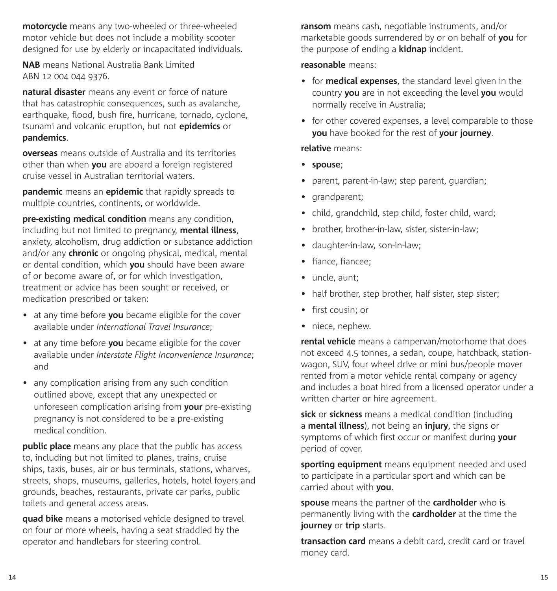**motorcycle** means any two-wheeled or three-wheeled motor vehicle but does not include a mobility scooter designed for use by elderly or incapacitated individuals.

**NAB** means National Australia Bank Limited ABN 12 004 044 9376.

**natural disaster** means any event or force of nature that has catastrophic consequences, such as avalanche, earthquake, flood, bush fire, hurricane, tornado, cyclone, tsunami and volcanic eruption, but not **epidemics** or **pandemics**.

**overseas** means outside of Australia and its territories other than when **you** are aboard a foreign registered cruise vessel in Australian territorial waters.

**pandemic** means an **epidemic** that rapidly spreads to multiple countries, continents, or worldwide.

**pre-existing medical condition** means any condition, including but not limited to pregnancy, **mental illness**, anxiety, alcoholism, drug addiction or substance addiction and/or any **chronic** or ongoing physical, medical, mental or dental condition, which **you** should have been aware of or become aware of, or for which investigation, treatment or advice has been sought or received, or medication prescribed or taken:

- at any time before **you** became eligible for the cover available under *International Travel Insurance*;
- at any time before **you** became eligible for the cover available under *Interstate Flight Inconvenience Insurance*; and
- any complication arising from any such condition outlined above, except that any unexpected or unforeseen complication arising from **your** pre-existing pregnancy is not considered to be a pre-existing medical condition.

**public place** means any place that the public has access to, including but not limited to planes, trains, cruise ships, taxis, buses, air or bus terminals, stations, wharves, streets, shops, museums, galleries, hotels, hotel foyers and grounds, beaches, restaurants, private car parks, public toilets and general access areas.

**quad bike** means a motorised vehicle designed to travel on four or more wheels, having a seat straddled by the operator and handlebars for steering control.

**ransom** means cash, negotiable instruments, and/or marketable goods surrendered by or on behalf of **you** for the purpose of ending a **kidnap** incident.

#### **reasonable** means:

- for **medical expenses**, the standard level given in the country **you** are in not exceeding the level **you** would normally receive in Australia;
- for other covered expenses, a level comparable to those **you** have booked for the rest of **your journey**.

#### **relative** means:

- **spouse**;
- parent, parent-in-law; step parent, guardian;
- grandparent;
- child, grandchild, step child, foster child, ward:
- brother, brother-in-law, sister, sister-in-law;
- daughter-in-law, son-in-law;
- fiance, fiancee;
- uncle, aunt:
- half brother, step brother, half sister, step sister;
- first cousin; or
- niece, nephew.

**rental vehicle** means a campervan/motorhome that does not exceed 4.5 tonnes, a sedan, coupe, hatchback, stationwagon, SUV, four wheel drive or mini bus/people mover rented from a motor vehicle rental company or agency and includes a boat hired from a licensed operator under a written charter or hire agreement.

**sick** or **sickness** means a medical condition (including a **mental illness**), not being an **injury**, the signs or symptoms of which first occur or manifest during **your** period of cover.

**sporting equipment** means equipment needed and used to participate in a particular sport and which can be carried about with **you**.

**spouse** means the partner of the **cardholder** who is permanently living with the **cardholder** at the time the **journey** or **trip** starts.

**transaction card** means a debit card, credit card or travel money card.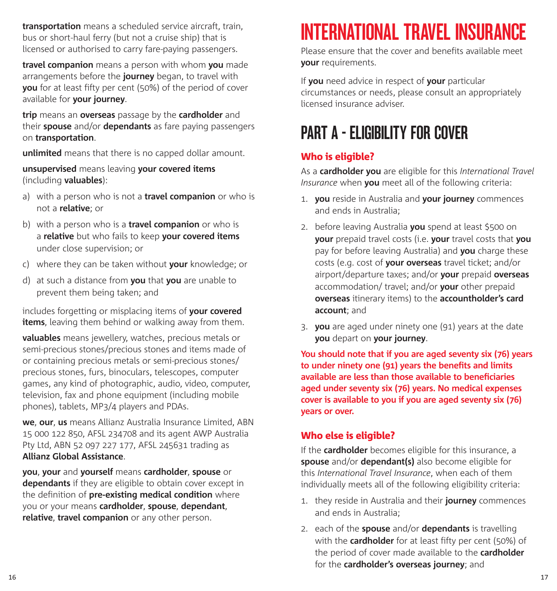**transportation** means a scheduled service aircraft, train, bus or short-haul ferry (but not a cruise ship) that is licensed or authorised to carry fare-paying passengers.

**travel companion** means a person with whom **you** made arrangements before the **journey** began, to travel with **you** for at least fifty per cent (50%) of the period of cover available for **your journey**.

**trip** means an **overseas** passage by the **cardholder** and their **spouse** and/or **dependants** as fare paying passengers on **transportation**.

**unlimited** means that there is no capped dollar amount.

**unsupervised** means leaving **your covered items** (including **valuables**):

- a) with a person who is not a **travel companion** or who is not a **relative**; or
- b) with a person who is a **travel companion** or who is a **relative** but who fails to keep **your covered items** under close supervision; or
- c) where they can be taken without **your** knowledge; or
- d) at such a distance from **you** that **you** are unable to prevent them being taken; and

includes forgetting or misplacing items of **your covered items**, leaving them behind or walking away from them.

**valuables** means jewellery, watches, precious metals or semi-precious stones/precious stones and items made of or containing precious metals or semi-precious stones/ precious stones, furs, binoculars, telescopes, computer games, any kind of photographic, audio, video, computer, television, fax and phone equipment (including mobile phones), tablets, MP3/4 players and PDAs.

**we**, **our**, **us** means Allianz Australia Insurance Limited, ABN 15 000 122 850, AFSL 234708 and its agent AWP Australia Pty Ltd, ABN 52 097 227 177, AFSL 245631 trading as **Allianz Global Assistance**.

**you**, **your** and **yourself** means **cardholder**, **spouse** or **dependants** if they are eligible to obtain cover except in the definition of **pre-existing medical condition** where you or your means **cardholder**, **spouse**, **dependant**, **relative**, **travel companion** or any other person.

# INTERNATIONAL TRAVEL INSURANCE

Please ensure that the cover and benefits available meet **your** requirements.

If **you** need advice in respect of **your** particular circumstances or needs, please consult an appropriately licensed insurance adviser.

# PART A - ELIGIBILITY FOR COVER

## Who is eligible?

As a **cardholder you** are eligible for this *International Travel Insurance* when **you** meet all of the following criteria:

- 1. **you** reside in Australia and **your journey** commences and ends in Australia;
- 2. before leaving Australia **you** spend at least \$500 on **your** prepaid travel costs (i.e. **your** travel costs that **you**  pay for before leaving Australia) and **you** charge these costs (e.g. cost of **your overseas** travel ticket; and/or airport/departure taxes; and/or **your** prepaid **overseas**  accommodation/ travel; and/or **your** other prepaid **overseas** itinerary items) to the **accountholder's card account**; and
- 3. **you** are aged under ninety one (91) years at the date **you** depart on **your journey**.

**You should note that if you are aged seventy six (76) years to under ninety one (91) years the benefits and limits available are less than those available to beneficiaries aged under seventy six (76) years. No medical expenses cover is available to you if you are aged seventy six (76) years or over.**

## Who else is eligible?

If the **cardholder** becomes eligible for this insurance, a **spouse** and/or **dependant(s)** also become eligible for this *International Travel Insurance*, when each of them individually meets all of the following eligibility criteria:

- 1. they reside in Australia and their **journey** commences and ends in Australia;
- 2. each of the **spouse** and/or **dependants** is travelling with the **cardholder** for at least fifty per cent (50%) of the period of cover made available to the **cardholder** for the **cardholder's overseas journey**; and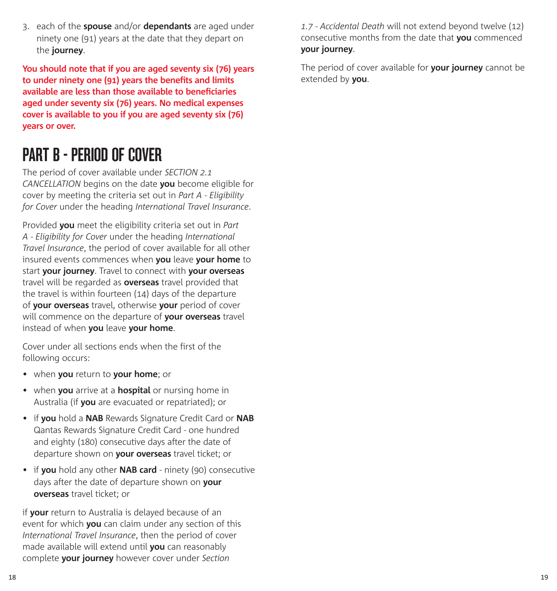3. each of the **spouse** and/or **dependants** are aged under ninety one (91) years at the date that they depart on the **journey**.

**You should note that if you are aged seventy six (76) years to under ninety one (91) years the benefits and limits available are less than those available to beneficiaries aged under seventy six (76) years. No medical expenses cover is available to you if you are aged seventy six (76) years or over.**

## PART B - PERIOD OF COVER

The period of cover available under *SECTION 2.1 CANCELLATION* begins on the date **you** become eligible for cover by meeting the criteria set out in *Part A - Eligibility for Cover* under the heading *International Travel Insurance*.

Provided **you** meet the eligibility criteria set out in *Part A - Eligibility for Cover* under the heading *International Travel Insurance*, the period of cover available for all other insured events commences when **you** leave **your home** to start **your journey**. Travel to connect with **your overseas**  travel will be regarded as **overseas** travel provided that the travel is within fourteen (14) days of the departure of **your overseas** travel, otherwise **your** period of cover will commence on the departure of **your overseas** travel instead of when **you** leave **your home**.

Cover under all sections ends when the first of the following occurs:

- when **you** return to **your home**; or
- when **you** arrive at a **hospital** or nursing home in Australia (if **you** are evacuated or repatriated); or
- if **you** hold a **NAB** Rewards Signature Credit Card or **NAB** Qantas Rewards Signature Credit Card - one hundred and eighty (180) consecutive days after the date of departure shown on **your overseas** travel ticket; or
- if **you** hold any other **NAB card** ninety (90) consecutive days after the date of departure shown on **your overseas** travel ticket; or

if **your** return to Australia is delayed because of an event for which **you** can claim under any section of this *International Travel Insurance*, then the period of cover made available will extend until **you** can reasonably complete **your journey** however cover under *Section* 

*1.7 - Accidental Death* will not extend beyond twelve (12) consecutive months from the date that **you** commenced **your journey**.

The period of cover available for **your journey** cannot be extended by **you**.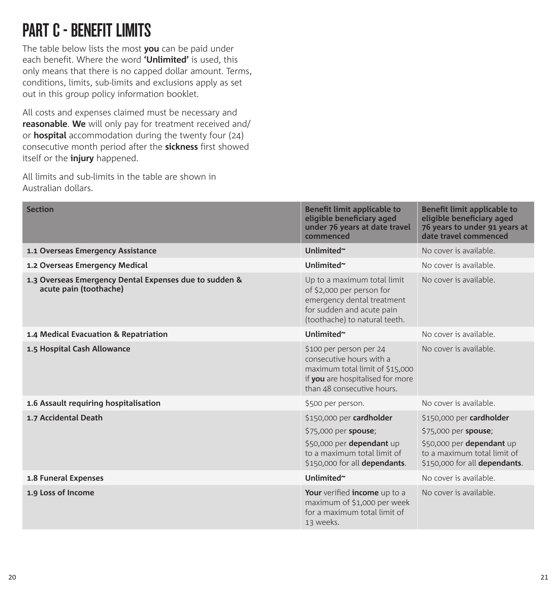## PART C - BENEFIT LIMITS

The table below lists the most **you** can be paid under each benefit. Where the word **'Unlimited'** is used, this only means that there is no capped dollar amount. Terms, conditions, limits, sub-limits and exclusions apply as set out in this group policy information booklet.

All costs and expenses claimed must be necessary and **reasonable**. **We** will only pay for treatment received and/ or **hospital** accommodation during the twenty four (24) consecutive month period after the **sickness** first showed itself or the **injury** happened.

All limits and sub-limits in the table are shown in Australian dollars.

| <b>Section</b>                                                                   | Benefit limit applicable to<br>eligible beneficiary aged<br>under 76 years at date travel<br>commenced                                                   | Benefit limit applicable to<br>eligible beneficiary aged<br>76 years to under 91 years at<br>date travel commenced                            |
|----------------------------------------------------------------------------------|----------------------------------------------------------------------------------------------------------------------------------------------------------|-----------------------------------------------------------------------------------------------------------------------------------------------|
| 1.1 Overseas Emergency Assistance                                                | Unlimited~                                                                                                                                               | No cover is available.                                                                                                                        |
| 1.2 Overseas Emergency Medical                                                   | Unlimited~                                                                                                                                               | No cover is available.                                                                                                                        |
| 1.3 Overseas Emergency Dental Expenses due to sudden &<br>acute pain (toothache) | Up to a maximum total limit<br>of \$2,000 per person for<br>emergency dental treatment<br>for sudden and acute pain<br>(toothache) to natural teeth.     | No cover is available.                                                                                                                        |
| 1.4 Medical Evacuation & Repatriation                                            | Unlimited~                                                                                                                                               | No cover is available.                                                                                                                        |
| 1.5 Hospital Cash Allowance                                                      | \$100 per person per 24<br>consecutive hours with a<br>maximum total limit of \$15,000<br>if you are hospitalised for more<br>than 48 consecutive hours. | No cover is available.                                                                                                                        |
| 1.6 Assault requiring hospitalisation                                            | \$500 per person.                                                                                                                                        | No cover is available.                                                                                                                        |
| 1.7 Accidental Death                                                             | \$150,000 per cardholder<br>\$75,000 per spouse;<br>\$50,000 per dependant up<br>to a maximum total limit of<br>\$150,000 for all dependants.            | \$150,000 per cardholder<br>\$75,000 per spouse;<br>\$50,000 per dependant up<br>to a maximum total limit of<br>\$150,000 for all dependants. |
| 1.8 Funeral Expenses                                                             | Unlimited~                                                                                                                                               | No cover is available.                                                                                                                        |
| 1.9 Loss of Income                                                               | Your verified income up to a<br>maximum of \$1,000 per week<br>for a maximum total limit of<br>13 weeks.                                                 | No cover is available.                                                                                                                        |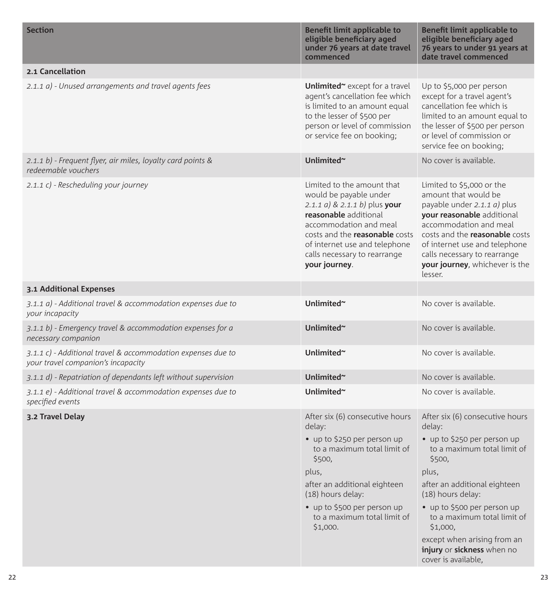| <b>Section</b>                                                                                     | Benefit limit applicable to<br>eligible beneficiary aged<br>under 76 years at date travel<br>commenced                                                                                                                                                              | Benefit limit applicable to<br>eligible beneficiary aged<br>76 years to under 91 years at<br>date travel commenced                                                                                                                                                                       |
|----------------------------------------------------------------------------------------------------|---------------------------------------------------------------------------------------------------------------------------------------------------------------------------------------------------------------------------------------------------------------------|------------------------------------------------------------------------------------------------------------------------------------------------------------------------------------------------------------------------------------------------------------------------------------------|
| 2.1 Cancellation                                                                                   |                                                                                                                                                                                                                                                                     |                                                                                                                                                                                                                                                                                          |
| 2.1.1 a) - Unused arrangements and travel agents fees                                              | Unlimited <sup>~</sup> except for a travel<br>agent's cancellation fee which<br>is limited to an amount equal<br>to the lesser of \$500 per<br>person or level of commission<br>or service fee on booking;                                                          | Up to \$5,000 per person<br>except for a travel agent's<br>cancellation fee which is<br>limited to an amount equal to<br>the lesser of \$500 per person<br>or level of commission or<br>service fee on booking:                                                                          |
| 2.1.1 b) - Frequent flyer, air miles, loyalty card points &<br>redeemable vouchers                 | Unlimited~                                                                                                                                                                                                                                                          | No cover is available.                                                                                                                                                                                                                                                                   |
| 2.1.1 c) - Rescheduling your journey                                                               | Limited to the amount that<br>would be payable under<br>2.1.1 a) & 2.1.1 b) plus your<br>reasonable additional<br>accommodation and meal<br>costs and the <b>reasonable</b> costs<br>of internet use and telephone<br>calls necessary to rearrange<br>your journey. | Limited to \$5,000 or the<br>amount that would be<br>payable under 2.1.1 a) plus<br>your reasonable additional<br>accommodation and meal<br>costs and the reasonable costs<br>of internet use and telephone<br>calls necessary to rearrange<br>your journey, whichever is the<br>lesser. |
| 3.1 Additional Expenses                                                                            |                                                                                                                                                                                                                                                                     |                                                                                                                                                                                                                                                                                          |
| 3.1.1 a) - Additional travel & accommodation expenses due to<br>your incapacity                    | Unlimited~                                                                                                                                                                                                                                                          | No cover is available.                                                                                                                                                                                                                                                                   |
| 3.1.1 b) - Emergency travel & accommodation expenses for a<br>necessary companion                  | Unlimited~                                                                                                                                                                                                                                                          | No cover is available.                                                                                                                                                                                                                                                                   |
| 3.1.1 c) - Additional travel & accommodation expenses due to<br>your travel companion's incapacity | Unlimited~                                                                                                                                                                                                                                                          | No cover is available.                                                                                                                                                                                                                                                                   |
| 3.1.1 d) - Repatriation of dependants left without supervision                                     | Unlimited~                                                                                                                                                                                                                                                          | No cover is available.                                                                                                                                                                                                                                                                   |
| 3.1.1 e) - Additional travel & accommodation expenses due to<br>specified events                   | Unlimited~                                                                                                                                                                                                                                                          | No cover is available.                                                                                                                                                                                                                                                                   |
| 3.2 Travel Delay                                                                                   | After six (6) consecutive hours<br>delay:<br>• up to \$250 per person up<br>to a maximum total limit of                                                                                                                                                             | After six (6) consecutive hours<br>delay:<br>• up to \$250 per person up<br>to a maximum total limit of                                                                                                                                                                                  |
|                                                                                                    | \$500,                                                                                                                                                                                                                                                              | \$500,                                                                                                                                                                                                                                                                                   |
|                                                                                                    | plus,                                                                                                                                                                                                                                                               | plus,                                                                                                                                                                                                                                                                                    |
|                                                                                                    | after an additional eighteen<br>(18) hours delay:                                                                                                                                                                                                                   | after an additional eighteen<br>(18) hours delay:                                                                                                                                                                                                                                        |
|                                                                                                    | • up to \$500 per person up<br>to a maximum total limit of<br>\$1,000.                                                                                                                                                                                              | • up to \$500 per person up<br>to a maximum total limit of<br>\$1,000,                                                                                                                                                                                                                   |
|                                                                                                    |                                                                                                                                                                                                                                                                     | except when arising from an<br>injury or sickness when no<br>cover is available,                                                                                                                                                                                                         |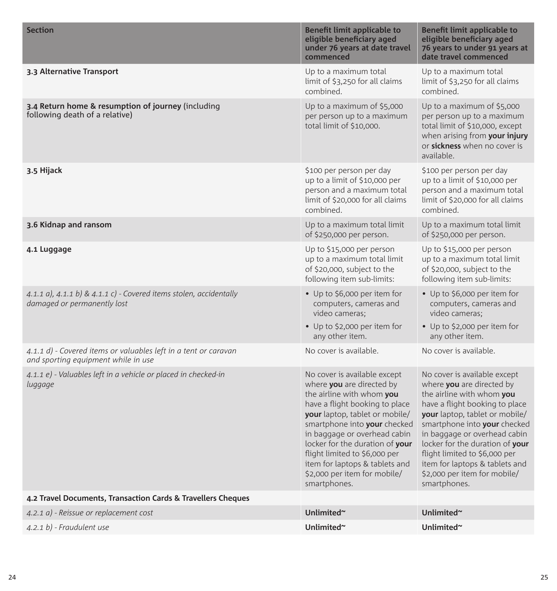| <b>Section</b>                                                                                         | Benefit limit applicable to<br>eligible beneficiary aged<br>under 76 years at date travel<br>commenced                                                                                                                                                                                                                                                                           | Benefit limit applicable to<br>eligible beneficiary aged<br>76 years to under 91 years at<br>date travel commenced                                                                                                                                                                                                                                                               |
|--------------------------------------------------------------------------------------------------------|----------------------------------------------------------------------------------------------------------------------------------------------------------------------------------------------------------------------------------------------------------------------------------------------------------------------------------------------------------------------------------|----------------------------------------------------------------------------------------------------------------------------------------------------------------------------------------------------------------------------------------------------------------------------------------------------------------------------------------------------------------------------------|
| 3.3 Alternative Transport                                                                              | Up to a maximum total<br>limit of \$3,250 for all claims<br>combined.                                                                                                                                                                                                                                                                                                            | Up to a maximum total<br>limit of \$3,250 for all claims<br>combined.                                                                                                                                                                                                                                                                                                            |
| 3.4 Return home & resumption of journey (including<br>following death of a relative)                   | Up to a maximum of $$5,000$<br>per person up to a maximum<br>total limit of \$10,000.                                                                                                                                                                                                                                                                                            | Up to a maximum of \$5,000<br>per person up to a maximum<br>total limit of \$10,000, except<br>when arising from your injury<br>or sickness when no cover is<br>available.                                                                                                                                                                                                       |
| 3.5 Hijack                                                                                             | \$100 per person per day<br>up to a limit of \$10,000 per<br>person and a maximum total<br>limit of \$20,000 for all claims<br>combined.                                                                                                                                                                                                                                         | \$100 per person per day<br>up to a limit of \$10,000 per<br>person and a maximum total<br>limit of \$20,000 for all claims<br>combined.                                                                                                                                                                                                                                         |
| 3.6 Kidnap and ransom                                                                                  | Up to a maximum total limit<br>of \$250,000 per person.                                                                                                                                                                                                                                                                                                                          | Up to a maximum total limit<br>of \$250,000 per person.                                                                                                                                                                                                                                                                                                                          |
| 4.1 Luggage                                                                                            | Up to \$15,000 per person<br>up to a maximum total limit<br>of \$20,000, subject to the<br>following item sub-limits:                                                                                                                                                                                                                                                            | Up to \$15,000 per person<br>up to a maximum total limit<br>of \$20,000, subject to the<br>following item sub-limits:                                                                                                                                                                                                                                                            |
| 4.1.1 a), 4.1.1 b) & 4.1.1 c) - Covered items stolen, accidentally<br>damaged or permanently lost      | • Up to \$6,000 per item for<br>computers, cameras and<br>video cameras:<br>• Up to \$2,000 per item for<br>any other item.                                                                                                                                                                                                                                                      | • Up to \$6,000 per item for<br>computers, cameras and<br>video cameras;<br>• Up to \$2,000 per item for<br>any other item.                                                                                                                                                                                                                                                      |
| 4.1.1 d) - Covered items or valuables left in a tent or caravan<br>and sporting equipment while in use | No cover is available.                                                                                                                                                                                                                                                                                                                                                           | No cover is available.                                                                                                                                                                                                                                                                                                                                                           |
| 4.1.1 e) - Valuables left in a vehicle or placed in checked-in<br>luggage                              | No cover is available except<br>where you are directed by<br>the airline with whom you<br>have a flight booking to place<br>your laptop, tablet or mobile/<br>smartphone into your checked<br>in baggage or overhead cabin<br>locker for the duration of your<br>flight limited to \$6,000 per<br>item for laptops & tablets and<br>\$2,000 per item for mobile/<br>smartphones. | No cover is available except<br>where you are directed by<br>the airline with whom you<br>have a flight booking to place<br>your laptop, tablet or mobile/<br>smartphone into your checked<br>in baggage or overhead cabin<br>locker for the duration of your<br>flight limited to \$6,000 per<br>item for laptops & tablets and<br>\$2,000 per item for mobile/<br>smartphones. |
| 4.2 Travel Documents, Transaction Cards & Travellers Cheques                                           |                                                                                                                                                                                                                                                                                                                                                                                  |                                                                                                                                                                                                                                                                                                                                                                                  |
| 4.2.1 a) - Reissue or replacement cost                                                                 | Unlimited~                                                                                                                                                                                                                                                                                                                                                                       | Unlimited~                                                                                                                                                                                                                                                                                                                                                                       |
| 4.2.1 b) - Fraudulent use                                                                              | Unlimited~                                                                                                                                                                                                                                                                                                                                                                       | Unlimited~                                                                                                                                                                                                                                                                                                                                                                       |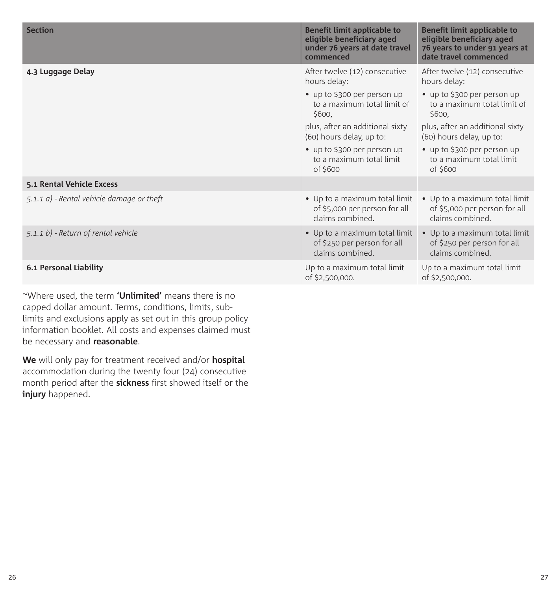| <b>Section</b>                            | Benefit limit applicable to<br>eligible beneficiary aged<br>under 76 years at date travel<br>commenced | Benefit limit applicable to<br>eligible beneficiary aged<br>76 years to under 91 years at<br>date travel commenced |
|-------------------------------------------|--------------------------------------------------------------------------------------------------------|--------------------------------------------------------------------------------------------------------------------|
| 4.3 Luggage Delay                         | After twelve (12) consecutive<br>hours delay:                                                          | After twelve (12) consecutive<br>hours delay:                                                                      |
|                                           | • up to \$300 per person up<br>to a maximum total limit of<br>\$600.                                   | • up to \$300 per person up<br>to a maximum total limit of<br>\$600.                                               |
|                                           | plus, after an additional sixty<br>(60) hours delay, up to:                                            | plus, after an additional sixty<br>(60) hours delay, up to:                                                        |
|                                           | • up to \$300 per person up<br>to a maximum total limit<br>of \$600                                    | • up to \$300 per person up<br>to a maximum total limit<br>of \$600                                                |
| 5.1 Rental Vehicle Excess                 |                                                                                                        |                                                                                                                    |
| 5.1.1 a) - Rental vehicle damage or theft | • Up to a maximum total limit<br>of \$5,000 per person for all<br>claims combined.                     | • Up to a maximum total limit<br>of \$5,000 per person for all<br>claims combined.                                 |
| 5.1.1 b) - Return of rental vehicle       | • Up to a maximum total limit<br>of \$250 per person for all<br>claims combined.                       | • Up to a maximum total limit<br>of \$250 per person for all<br>claims combined.                                   |
| 6.1 Personal Liability                    | Up to a maximum total limit<br>of \$2,500,000.                                                         | Up to a maximum total limit<br>of \$2,500,000.                                                                     |

~Where used, the term **'Unlimited'** means there is no capped dollar amount. Terms, conditions, limits, sublimits and exclusions apply as set out in this group policy information booklet. All costs and expenses claimed must be necessary and **reasonable**.

**We** will only pay for treatment received and/or **hospital** accommodation during the twenty four (24) consecutive month period after the **sickness** first showed itself or the **injury** happened.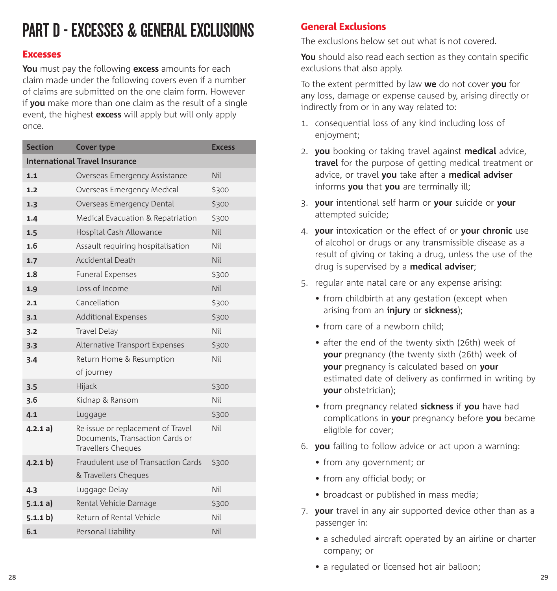## PART D - EXCESSES & GENERAL EXCLUSIONS

#### Excesses

**You** must pay the following **excess** amounts for each claim made under the following covers even if a number of claims are submitted on the one claim form. However if **you** make more than one claim as the result of a single event, the highest **excess** will apply but will only apply once.

| <b>Section</b>                        | <b>Cover type</b>                                                                                 | <b>Excess</b> |  |
|---------------------------------------|---------------------------------------------------------------------------------------------------|---------------|--|
| <b>International Travel Insurance</b> |                                                                                                   |               |  |
| 1.1                                   | Overseas Emergency Assistance                                                                     | Nil           |  |
| 1.2                                   | Overseas Emergency Medical                                                                        | \$300         |  |
| 1.3                                   | Overseas Emergency Dental                                                                         | \$300         |  |
| 1.4                                   | Medical Evacuation & Repatriation                                                                 | \$300         |  |
| 1.5                                   | Hospital Cash Allowance                                                                           | Nil           |  |
| 1.6                                   | Assault requiring hospitalisation                                                                 | Nil           |  |
| 1.7                                   | <b>Accidental Death</b>                                                                           | Nil           |  |
| 1.8                                   | <b>Funeral Expenses</b>                                                                           | \$300         |  |
| 1.9                                   | Loss of Income                                                                                    | Nil           |  |
| 2.1                                   | Cancellation                                                                                      | \$300         |  |
| 3.1                                   | <b>Additional Expenses</b>                                                                        | \$300         |  |
| 3.2                                   | <b>Travel Delay</b>                                                                               | Nil           |  |
| 3.3                                   | Alternative Transport Expenses                                                                    | \$300         |  |
| 3.4                                   | Return Home & Resumption                                                                          | Nil           |  |
|                                       | of journey                                                                                        |               |  |
| 3.5                                   | Hijack                                                                                            | \$300         |  |
| 3.6                                   | Kidnap & Ransom                                                                                   | Nil           |  |
| 4.1                                   | Luggage                                                                                           | \$300         |  |
| 4.2.1 a)                              | Re-issue or replacement of Travel<br>Documents, Transaction Cards or<br><b>Travellers Cheques</b> | Nil           |  |
| (4.2.1 b)                             | Fraudulent use of Transaction Cards<br>& Travellers Cheques                                       | \$300         |  |
| 4.3                                   | Luggage Delay                                                                                     | Nil           |  |
| 5.1.1 a)                              | Rental Vehicle Damage                                                                             | \$300         |  |
| 5.1.1 b)                              | Return of Rental Vehicle                                                                          | Nil           |  |
| 6.1                                   | Personal Liability                                                                                | Nil           |  |

## General Exclusions

The exclusions below set out what is not covered.

**You** should also read each section as they contain specific exclusions that also apply.

To the extent permitted by law **we** do not cover **you** for any loss, damage or expense caused by, arising directly or indirectly from or in any way related to:

- 1. consequential loss of any kind including loss of enjoyment;
- 2. **you** booking or taking travel against **medical** advice, **travel** for the purpose of getting medical treatment or advice, or travel **you** take after a **medical adviser** informs **you** that **you** are terminally ill;
- 3. **your** intentional self harm or **your** suicide or **your** attempted suicide;
- 4. **your** intoxication or the effect of or **your chronic** use of alcohol or drugs or any transmissible disease as a result of giving or taking a drug, unless the use of the drug is supervised by a **medical adviser**;
- 5. regular ante natal care or any expense arising:
	- from childbirth at any gestation (except when arising from an **injury** or **sickness**);
	- from care of a newborn child:
	- after the end of the twenty sixth (26th) week of **your** pregnancy (the twenty sixth (26th) week of **your** pregnancy is calculated based on **your**  estimated date of delivery as confirmed in writing by **your** obstetrician);
	- from pregnancy related **sickness** if **you** have had complications in **your** pregnancy before **you** became eligible for cover;
- 6. **you** failing to follow advice or act upon a warning:
	- from any government; or
	- from any official body; or
	- broadcast or published in mass media;
- 7. **your** travel in any air supported device other than as a passenger in:
	- a scheduled aircraft operated by an airline or charter company; or
	- a regulated or licensed hot air balloon;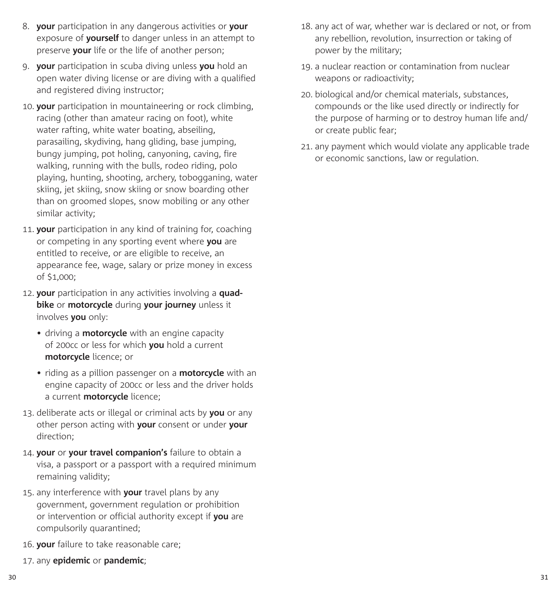- 8. **your** participation in any dangerous activities or **your** exposure of **yourself** to danger unless in an attempt to preserve **your** life or the life of another person;
- 9. **your** participation in scuba diving unless **you** hold an open water diving license or are diving with a qualified and registered diving instructor;
- 10. **your** participation in mountaineering or rock climbing, racing (other than amateur racing on foot), white water rafting, white water boating, abseiling, parasailing, skydiving, hang gliding, base jumping, bungy jumping, pot holing, canyoning, caving, fire walking, running with the bulls, rodeo riding, polo playing, hunting, shooting, archery, tobogganing, water skiing, jet skiing, snow skiing or snow boarding other than on groomed slopes, snow mobiling or any other similar activity;
- 11. **your** participation in any kind of training for, coaching or competing in any sporting event where **you** are entitled to receive, or are eligible to receive, an appearance fee, wage, salary or prize money in excess of \$1,000;
- 12. **your** participation in any activities involving a **quadbike** or **motorcycle** during **your journey** unless it involves **you** only:
	- driving a **motorcycle** with an engine capacity of 200cc or less for which **you** hold a current **motorcycle** licence; or
	- riding as a pillion passenger on a **motorcycle** with an engine capacity of 200cc or less and the driver holds a current **motorcycle** licence;
- 13. deliberate acts or illegal or criminal acts by **you** or any other person acting with **your** consent or under **your** direction;
- 14. **your** or **your travel companion's** failure to obtain a visa, a passport or a passport with a required minimum remaining validity;
- 15. any interference with **your** travel plans by any government, government regulation or prohibition or intervention or official authority except if **you** are compulsorily quarantined;
- 16. **your** failure to take reasonable care;
- 17. any **epidemic** or **pandemic**;
- 18. any act of war, whether war is declared or not, or from any rebellion, revolution, insurrection or taking of power by the military;
- 19. a nuclear reaction or contamination from nuclear weapons or radioactivity;
- 20. biological and/or chemical materials, substances, compounds or the like used directly or indirectly for the purpose of harming or to destroy human life and/ or create public fear;
- 21. any payment which would violate any applicable trade or economic sanctions, law or regulation.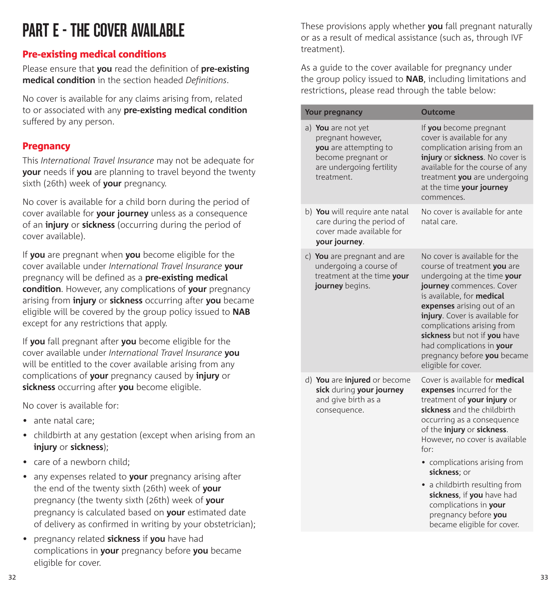# PART F - THE COVER AVAILARLE

## Pre-existing medical conditions

Please ensure that **you** read the definition of **pre-existing medical condition** in the section headed *Definitions*.

No cover is available for any claims arising from, related to or associated with any **pre-existing medical condition** suffered by any person.

### **Pregnancy**

This *International Travel Insurance* may not be adequate for **your** needs if **you** are planning to travel beyond the twenty sixth (26th) week of **your** pregnancy.

No cover is available for a child born during the period of cover available for **your journey** unless as a consequence of an **injury** or **sickness** (occurring during the period of cover available).

If **you** are pregnant when **you** become eligible for the cover available under *International Travel Insurance* **your**  pregnancy will be defined as a **pre-existing medical condition**. However, any complications of **your** pregnancy arising from **injury** or **sickness** occurring after **you** became eligible will be covered by the group policy issued to **NAB**  except for any restrictions that apply.

If **you** fall pregnant after **you** become eligible for the cover available under *International Travel Insurance* **you**  will be entitled to the cover available arising from any complications of **your** pregnancy caused by **injury** or **sickness** occurring after **you** become eligible.

No cover is available for:

- ante natal care:
- childbirth at any gestation (except when arising from an **injury** or **sickness**);
- care of a newborn child;
- any expenses related to **your** pregnancy arising after the end of the twenty sixth (26th) week of **your** pregnancy (the twenty sixth (26th) week of **your** pregnancy is calculated based on **your** estimated date of delivery as confirmed in writing by your obstetrician);
- pregnancy related **sickness** if **you** have had complications in **your** pregnancy before **you** became eligible for cover.

These provisions apply whether **you** fall pregnant naturally or as a result of medical assistance (such as, through IVF treatment).

As a guide to the cover available for pregnancy under the group policy issued to **NAB**, including limitations and restrictions, please read through the table below:

| <b>Your pregnancy</b>                                                                                                            | Outcome                                                                                                                                                                                                                                                                                                                                                                                                                      |
|----------------------------------------------------------------------------------------------------------------------------------|------------------------------------------------------------------------------------------------------------------------------------------------------------------------------------------------------------------------------------------------------------------------------------------------------------------------------------------------------------------------------------------------------------------------------|
| a) You are not yet<br>pregnant however,<br>you are attempting to<br>become pregnant or<br>are undergoing fertility<br>treatment. | If you become pregnant<br>cover is available for any<br>complication arising from an<br>injury or sickness. No cover is<br>available for the course of any<br>treatment you are undergoing<br>at the time your journey<br>commences.                                                                                                                                                                                         |
| b) You will require ante natal<br>care during the period of<br>cover made available for<br>your journey.                         | No cover is available for ante<br>natal care.                                                                                                                                                                                                                                                                                                                                                                                |
| c) You are pregnant and are<br>undergoing a course of<br>treatment at the time your<br>journey begins.                           | No cover is available for the<br>course of treatment you are<br>undergoing at the time your<br>journey commences. Cover<br>is available, for medical<br>expenses arising out of an<br>injury. Cover is available for<br>complications arising from<br>sickness but not if you have<br>had complications in your<br>pregnancy before you became<br>eligible for cover.                                                        |
| d) You are injured or become<br>sick during your journey<br>and give birth as a<br>consequence.                                  | Cover is available for medical<br>expenses incurred for the<br>treatment of your injury or<br>sickness and the childbirth<br>occurring as a consequence<br>of the injury or sickness.<br>However, no cover is available<br>for:<br>• complications arising from<br>sickness; or<br>• a childbirth resulting from<br>sickness, if you have had<br>complications in your<br>pregnancy before you<br>became eligible for cover. |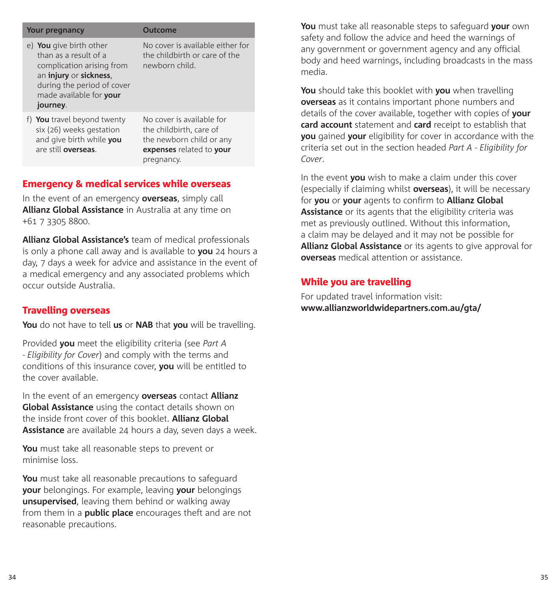| Your pregnancy                                                                                                                                                               | Outcome                                                                                                                    |
|------------------------------------------------------------------------------------------------------------------------------------------------------------------------------|----------------------------------------------------------------------------------------------------------------------------|
| e) You give birth other<br>than as a result of a<br>complication arising from<br>an injury or sickness,<br>during the period of cover<br>made available for your<br>journey. | No cover is available either for<br>the childbirth or care of the<br>newborn child.                                        |
| f) You travel beyond twenty<br>six (26) weeks gestation<br>and give birth while you<br>are still overseas.                                                                   | No cover is available for<br>the childbirth, care of<br>the newborn child or any<br>expenses related to your<br>pregnancy. |

## Emergency & medical services while overseas

In the event of an emergency **overseas**, simply call **Allianz Global Assistance** in Australia at any time on +61 7 3305 8800.

**Allianz Global Assistance's** team of medical professionals is only a phone call away and is available to **you** 24 hours a day, 7 days a week for advice and assistance in the event of a medical emergency and any associated problems which occur outside Australia.

#### Travelling overseas

**You** do not have to tell **us** or **NAB** that **you** will be travelling.

Provided **you** meet the eligibility criteria (see *Part A - Eligibility for Cover*) and comply with the terms and conditions of this insurance cover, **you** will be entitled to the cover available.

In the event of an emergency **overseas** contact **Allianz Global Assistance** using the contact details shown on the inside front cover of this booklet. **Allianz Global Assistance** are available 24 hours a day, seven days a week.

**You** must take all reasonable steps to prevent or minimise loss.

**You** must take all reasonable precautions to safeguard **your** belongings. For example, leaving **your** belongings **unsupervised**, leaving them behind or walking away from them in a **public place** encourages theft and are not reasonable precautions.

**You** must take all reasonable steps to safeguard **your** own safety and follow the advice and heed the warnings of any government or government agency and any official body and heed warnings, including broadcasts in the mass media.

**You** should take this booklet with **you** when travelling **overseas** as it contains important phone numbers and details of the cover available, together with copies of **your card account** statement and **card** receipt to establish that **you** gained **your** eligibility for cover in accordance with the criteria set out in the section headed *Part A - Eligibility for Cover*.

In the event **you** wish to make a claim under this cover (especially if claiming whilst **overseas**), it will be necessary for **you** or **your** agents to confirm to **Allianz Global Assistance** or its agents that the eligibility criteria was met as previously outlined. Without this information, a claim may be delayed and it may not be possible for **Allianz Global Assistance** or its agents to give approval for **overseas** medical attention or assistance.

### While you are travelling

For updated travel information visit: **www.allianzworldwidepartners.com.au/gta/**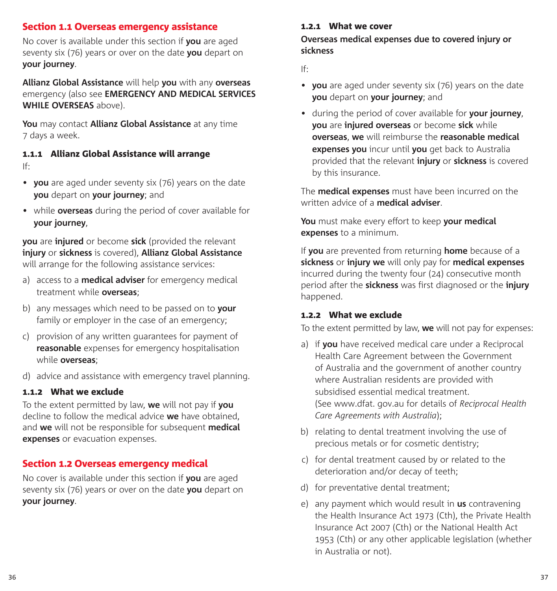#### Section 1.1 Overseas emergency assistance

No cover is available under this section if **you** are aged seventy six (76) years or over on the date **you** depart on **your journey**.

**Allianz Global Assistance** will help **you** with any **overseas** emergency (also see **EMERGENCY AND MEDICAL SERVICES WHILE OVERSEAS** above).

**You** may contact **Allianz Global Assistance** at any time 7 days a week.

#### 1.1.1 Allianz Global Assistance will arrange If:

- **you** are aged under seventy six (76) years on the date **you** depart on **your journey**; and
- while **overseas** during the period of cover available for **your journey**,

**you** are **injured** or become **sick** (provided the relevant **injury** or **sickness** is covered), **Allianz Global Assistance**  will arrange for the following assistance services:

- a) access to a **medical adviser** for emergency medical treatment while **overseas**;
- b) any messages which need to be passed on to **your** family or employer in the case of an emergency;
- c) provision of any written guarantees for payment of **reasonable** expenses for emergency hospitalisation while **overseas**;
- d) advice and assistance with emergency travel planning.

### 1.1.2 What we exclude

To the extent permitted by law, **we** will not pay if **you**  decline to follow the medical advice **we** have obtained, and **we** will not be responsible for subsequent **medical expenses** or evacuation expenses.

## Section 1.2 Overseas emergency medical

No cover is available under this section if **you** are aged seventy six (76) years or over on the date **you** depart on **your journey**.

#### 1.2.1 What we cover

#### **Overseas medical expenses due to covered injury or sickness**

If:

- **you** are aged under seventy six (76) years on the date **you** depart on **your journey**; and
- during the period of cover available for **your journey**, **you** are **injured overseas** or become **sick** while **overseas**, **we** will reimburse the **reasonable medical expenses you** incur until **you** get back to Australia provided that the relevant **injury** or **sickness** is covered by this insurance.

The **medical expenses** must have been incurred on the written advice of a **medical adviser**.

**You** must make every effort to keep **your medical expenses** to a minimum.

If **you** are prevented from returning **home** because of a **sickness** or **injury we** will only pay for **medical expenses**  incurred during the twenty four (24) consecutive month period after the **sickness** was first diagnosed or the **injury**  happened.

#### 1.2.2 What we exclude

To the extent permitted by law, **we** will not pay for expenses:

- a) if **you** have received medical care under a Reciprocal Health Care Agreement between the Government of Australia and the government of another country where Australian residents are provided with subsidised essential medical treatment. (See [www.dfat.](www.dfat.gov.au) gov.au for details of *Reciprocal Health Care Agreements with Australia*);
- b) relating to dental treatment involving the use of precious metals or for cosmetic dentistry;
- c) for dental treatment caused by or related to the deterioration and/or decay of teeth;
- d) for preventative dental treatment;
- e) any payment which would result in **us** contravening the Health Insurance Act 1973 (Cth), the Private Health Insurance Act 2007 (Cth) or the National Health Act 1953 (Cth) or any other applicable legislation (whether in Australia or not).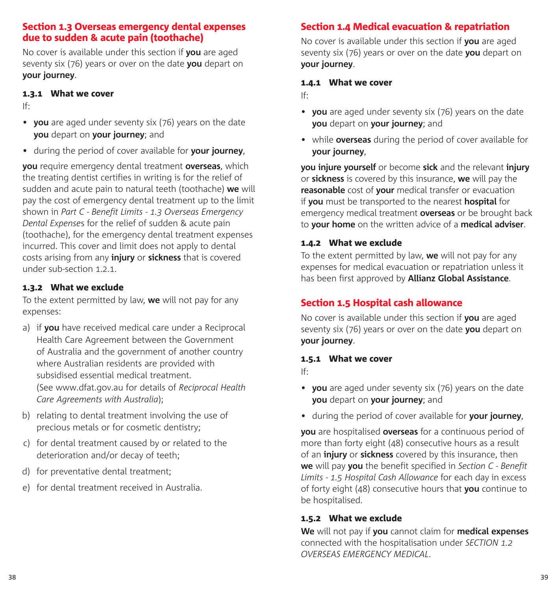#### Section 1.3 Overseas emergency dental expenses due to sudden & acute pain (toothache)

No cover is available under this section if **you** are aged seventy six (76) years or over on the date **you** depart on **your journey**.

#### 1.3.1 What we cover

If:

- **you** are aged under seventy six (76) years on the date **you** depart on **your journey**; and
- during the period of cover available for **your journey**,

**you** require emergency dental treatment **overseas**, which the treating dentist certifies in writing is for the relief of sudden and acute pain to natural teeth (toothache) **we** will pay the cost of emergency dental treatment up to the limit shown in *Part C - Benefit Limits - 1.3 Overseas Emergency Dental Expense*s for the relief of sudden & acute pain (toothache), for the emergency dental treatment expenses incurred. This cover and limit does not apply to dental costs arising from any **injury** or **sickness** that is covered under sub-section 1.2.1.

## 1.3.2 What we exclude

To the extent permitted by law, **we** will not pay for any expenses:

- a) if **you** have received medical care under a Reciprocal Health Care Agreement between the Government of Australia and the government of another country where Australian residents are provided with subsidised essential medical treatment. (See <www.dfat.gov.au> for details of *Reciprocal Health Care Agreements with Australia*);
- b) relating to dental treatment involving the use of precious metals or for cosmetic dentistry;
- c) for dental treatment caused by or related to the deterioration and/or decay of teeth;
- d) for preventative dental treatment;
- e) for dental treatment received in Australia.

## Section 1.4 Medical evacuation & repatriation

No cover is available under this section if **you** are aged seventy six (76) years or over on the date **you** depart on **your journey**.

#### 1.4.1 What we cover

If:

- **you** are aged under seventy six (76) years on the date **you** depart on **your journey**; and
- while **overseas** during the period of cover available for **your journey**,

**you injure yourself** or become **sick** and the relevant **injury** or **sickness** is covered by this insurance, **we** will pay the **reasonable** cost of **your** medical transfer or evacuation if **you** must be transported to the nearest **hospital** for emergency medical treatment **overseas** or be brought back to **your home** on the written advice of a **medical adviser**.

## 1.4.2 What we exclude

To the extent permitted by law, **we** will not pay for any expenses for medical evacuation or repatriation unless it has been first approved by **Allianz Global Assistance**.

## Section 1.5 Hospital cash allowance

No cover is available under this section if **you** are aged seventy six (76) years or over on the date **you** depart on **your journey**.

### 1.5.1 What we cover

If:

- **you** are aged under seventy six (76) years on the date **you** depart on **your journey**; and
- during the period of cover available for **your journey**,

**you** are hospitalised **overseas** for a continuous period of more than forty eight (48) consecutive hours as a result of an **injury** or **sickness** covered by this insurance, then **we** will pay **you** the benefit specified in *Section C - Benefit Limits - 1.5 Hospital Cash Allowance* for each day in excess of forty eight (48) consecutive hours that **you** continue to be hospitalised.

### 1.5.2 What we exclude

**We** will not pay if **you** cannot claim for **medical expenses** connected with the hospitalisation under *SECTION 1.2 OVERSEAS EMERGENCY MEDICAL.*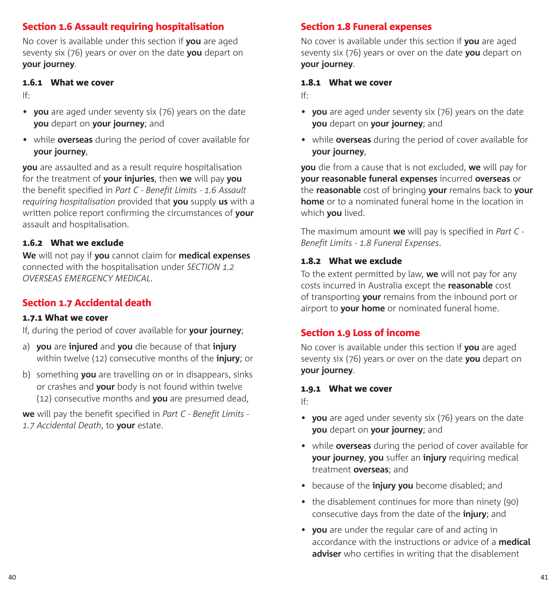## Section 1.6 Assault requiring hospitalisation

No cover is available under this section if **you** are aged seventy six (76) years or over on the date **you** depart on **your journey**.

#### 1.6.1 What we cover

If:

- **you** are aged under seventy six (76) years on the date **you** depart on **your journey**; and
- while **overseas** during the period of cover available for **your journey**,

**you** are assaulted and as a result require hospitalisation for the treatment of **your injuries**, then **we** will pay **you** the benefit specified in *Part C - Benefit Limits - 1.6 Assault requiring hospitalisation* provided that **you** supply **us** with a written police report confirming the circumstances of **your** assault and hospitalisation.

### 1.6.2 What we exclude

**We** will not pay if **you** cannot claim for **medical expenses** connected with the hospitalisation under *SECTION 1.2 OVERSEAS EMERGENCY MEDICAL*.

## Section 1.7 Accidental death

#### 1.7.1 What we cover

If, during the period of cover available for **your journey**;

- a) **you** are **injured** and **you** die because of that **injury** within twelve (12) consecutive months of the **injury**; or
- b) something **you** are travelling on or in disappears, sinks or crashes and **your** body is not found within twelve (12) consecutive months and **you** are presumed dead,

**we** will pay the benefit specified in *Part C - Benefit Limits - 1.7 Accidental Death*, to **your** estate.

## Section 1.8 Funeral expenses

No cover is available under this section if **you** are aged seventy six (76) years or over on the date **you** depart on **your journey**.

#### 1.8.1 What we cover

If:

- **you** are aged under seventy six (76) years on the date **you** depart on **your journey**; and
- while **overseas** during the period of cover available for **your journey**,

**you** die from a cause that is not excluded, **we** will pay for **your reasonable funeral expenses** incurred **overseas** or the **reasonable** cost of bringing **your** remains back to **your home** or to a nominated funeral home in the location in which **you** lived.

The maximum amount **we** will pay is specified in *Part C - Benefit Limits - 1.8 Funeral Expenses*.

#### 1.8.2 What we exclude

To the extent permitted by law, **we** will not pay for any costs incurred in Australia except the **reasonable** cost of transporting **your** remains from the inbound port or airport to **your home** or nominated funeral home.

## Section 1.9 Loss of income

No cover is available under this section if **you** are aged seventy six (76) years or over on the date **you** depart on **your journey**.

#### 1.9.1 What we cover

If:

- **you** are aged under seventy six (76) years on the date **you** depart on **your journey**; and
- while **overseas** during the period of cover available for **your journey**, **you** suffer an **injury** requiring medical treatment **overseas**; and
- because of the **injury you** become disabled; and
- the disablement continues for more than ninety (90) consecutive days from the date of the **injury**; and
- **you** are under the regular care of and acting in accordance with the instructions or advice of a **medical adviser** who certifies in writing that the disablement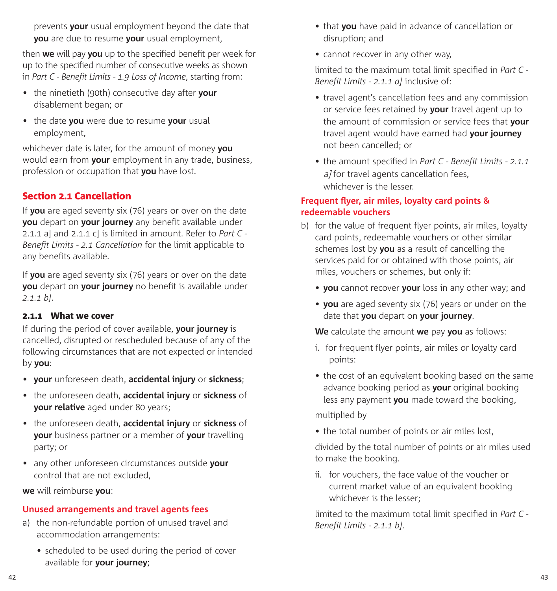prevents **your** usual employment beyond the date that **you** are due to resume **your** usual employment,

then **we** will pay **you** up to the specified benefit per week for up to the specified number of consecutive weeks as shown in *Part C - Benefit Limits - 1.9 Loss of Income*, starting from:

- the ninetieth (90th) consecutive day after **your** disablement began; or
- the date **you** were due to resume **your** usual employment,

whichever date is later, for the amount of money **you** would earn from **your** employment in any trade, business, profession or occupation that **you** have lost.

## Section 2.1 Cancellation

If **you** are aged seventy six (76) years or over on the date **you** depart on **your journey** any benefit available under 2.1.1 a] and 2.1.1 c] is limited in amount. Refer to *Part C - Benefit Limits - 2.1 Cancellation* for the limit applicable to any benefits available.

If **you** are aged seventy six (76) years or over on the date **you** depart on **your journey** no benefit is available under *2.1.1 b]*.

#### 2.1.1 What we cover

If during the period of cover available, **your journey** is cancelled, disrupted or rescheduled because of any of the following circumstances that are not expected or intended by **you**:

- **your** unforeseen death, **accidental injury** or **sickness**;
- the unforeseen death, **accidental injury** or **sickness** of **your relative** aged under 80 years;
- the unforeseen death, **accidental injury** or **sickness** of **your** business partner or a member of **your** travelling party; or
- any other unforeseen circumstances outside **your** control that are not excluded,

**we** will reimburse **you**:

#### **Unused arrangements and travel agents fees**

- a) the non-refundable portion of unused travel and accommodation arrangements:
	- scheduled to be used during the period of cover available for **your journey**;
- that **you** have paid in advance of cancellation or disruption; and
- cannot recover in any other way,

limited to the maximum total limit specified in *Part C - Benefit Limits - 2.1.1 a]* inclusive of:

- travel agent's cancellation fees and any commission or service fees retained by **your** travel agent up to the amount of commission or service fees that **your** travel agent would have earned had **your journey** not been cancelled; or
- the amount specified in *Part C Benefit Limits 2.1.1* a] for travel agents cancellation fees, whichever is the lesser.

### **Frequent flyer, air miles, loyalty card points & redeemable vouchers**

- b) for the value of frequent flyer points, air miles, loyalty card points, redeemable vouchers or other similar schemes lost by **you** as a result of cancelling the services paid for or obtained with those points, air miles, vouchers or schemes, but only if:
	- **you** cannot recover **your** loss in any other way; and
	- **you** are aged seventy six (76) years or under on the date that **you** depart on **your journey**.

**We** calculate the amount **we** pay **you** as follows:

- i. for frequent flyer points, air miles or loyalty card points:
- the cost of an equivalent booking based on the same advance booking period as **your** original booking less any payment **you** made toward the booking,

multiplied by

• the total number of points or air miles lost,

divided by the total number of points or air miles used to make the booking.

ii. for vouchers, the face value of the voucher or current market value of an equivalent booking whichever is the lesser;

limited to the maximum total limit specified in *Part C - Benefit Limits - 2.1.1 b]*.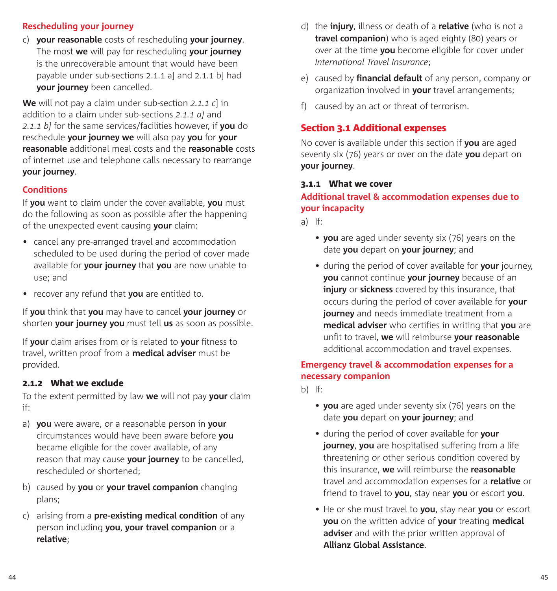#### **Rescheduling your journey**

c) **your reasonable** costs of rescheduling **your journey**. The most **we** will pay for rescheduling **your journey** is the unrecoverable amount that would have been payable under sub-sections 2.1.1 a] and 2.1.1 b] had **your journey** been cancelled.

**We** will not pay a claim under sub-section *2.1.1 c*] in addition to a claim under sub-sections *2.1.1 a]* and *2.1.1 b]* for the same services/facilities however, if **you** do reschedule **your journey we** will also pay **you** for **your reasonable** additional meal costs and the **reasonable** costs of internet use and telephone calls necessary to rearrange **your journey**.

#### **Conditions**

If **you** want to claim under the cover available, **you** must do the following as soon as possible after the happening of the unexpected event causing **your** claim:

- cancel any pre-arranged travel and accommodation scheduled to be used during the period of cover made available for **your journey** that **you** are now unable to use; and
- recover any refund that **you** are entitled to.

If **you** think that **you** may have to cancel **your journey** or shorten **your journey you** must tell **us** as soon as possible.

If **your** claim arises from or is related to **your** fitness to travel, written proof from a **medical adviser** must be provided.

#### 2.1.2 What we exclude

To the extent permitted by law **we** will not pay **your** claim if:

- a) **you** were aware, or a reasonable person in **your** circumstances would have been aware before **you**  became eligible for the cover available, of any reason that may cause **your journey** to be cancelled, rescheduled or shortened;
- b) caused by **you** or **your travel companion** changing plans;
- c) arising from a **pre-existing medical condition** of any person including **you**, **your travel companion** or a **relative**;
- d) the **injury**, illness or death of a **relative** (who is not a **travel companion**) who is aged eighty (80) years or over at the time **you** become eligible for cover under *International Travel Insurance*;
- e) caused by **financial default** of any person, company or organization involved in **your** travel arrangements;
- f) caused by an act or threat of terrorism.

### Section 3.1 Additional expenses

No cover is available under this section if **you** are aged seventy six (76) years or over on the date **you** depart on **your journey**.

#### 3.1.1 What we cover

### **Additional travel & accommodation expenses due to your incapacity**

a) If:

- **you** are aged under seventy six (76) years on the date **you** depart on **your journey**; and
- during the period of cover available for **your** journey, **you** cannot continue **your journey** because of an **injury** or **sickness** covered by this insurance, that occurs during the period of cover available for **your journey** and needs immediate treatment from a **medical adviser** who certifies in writing that **you** are unfit to travel, **we** will reimburse **your reasonable**  additional accommodation and travel expenses.

#### **Emergency travel & accommodation expenses for a necessary companion**

 $h)$  If:

- **you** are aged under seventy six (76) years on the date **you** depart on **your journey**; and
- during the period of cover available for **your journey**, **you** are hospitalised suffering from a life threatening or other serious condition covered by this insurance, **we** will reimburse the **reasonable** travel and accommodation expenses for a **relative** or friend to travel to **you**, stay near **you** or escort **you**.
- He or she must travel to **you**, stay near **you** or escort **you** on the written advice of **your** treating **medical adviser** and with the prior written approval of **Allianz Global Assistance**.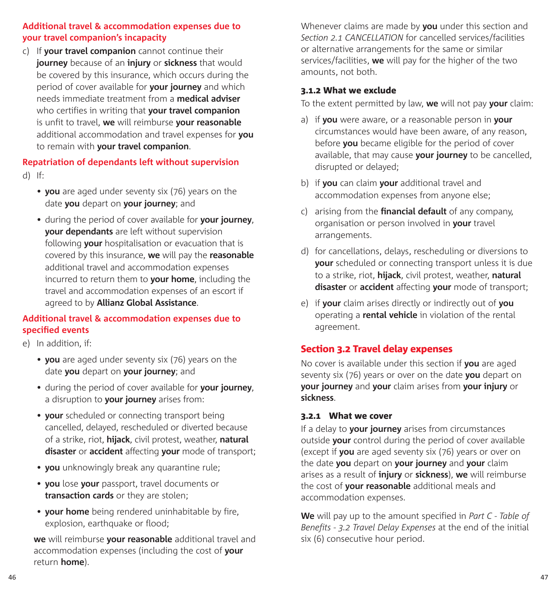#### **Additional travel & accommodation expenses due to your travel companion's incapacity**

c) If **your travel companion** cannot continue their **journey** because of an **injury** or **sickness** that would be covered by this insurance, which occurs during the period of cover available for **your journey** and which needs immediate treatment from a **medical adviser** who certifies in writing that **your travel companion** is unfit to travel, **we** will reimburse **your reasonable** additional accommodation and travel expenses for **you** to remain with **your travel companion**.

## **Repatriation of dependants left without supervision**

d) If:

- **you** are aged under seventy six (76) years on the date **you** depart on **your journey**; and
- during the period of cover available for **your journey**, **your dependants** are left without supervision following **your** hospitalisation or evacuation that is covered by this insurance, **we** will pay the **reasonable** additional travel and accommodation expenses incurred to return them to **your home**, including the travel and accommodation expenses of an escort if agreed to by **Allianz Global Assistance**.

## **Additional travel & accommodation expenses due to specified events**

- e) In addition, if:
	- **you** are aged under seventy six (76) years on the date **you** depart on **your journey**; and
	- during the period of cover available for **your journey**, a disruption to **your journey** arises from:
	- **your** scheduled or connecting transport being cancelled, delayed, rescheduled or diverted because of a strike, riot, **hijack**, civil protest, weather, **natural disaster** or **accident** affecting **your** mode of transport;
	- **you** unknowingly break any quarantine rule;
	- **you** lose **your** passport, travel documents or **transaction cards** or they are stolen;
	- **your home** being rendered uninhabitable by fire, explosion, earthquake or flood;

**we** will reimburse **your reasonable** additional travel and accommodation expenses (including the cost of **your** return **home**).

Whenever claims are made by **you** under this section and *Section 2.1 CANCELLATION* for cancelled services/facilities or alternative arrangements for the same or similar services/facilities, **we** will pay for the higher of the two amounts, not both.

#### 3.1.2 What we exclude

To the extent permitted by law, **we** will not pay **your** claim:

- a) if **you** were aware, or a reasonable person in **your**  circumstances would have been aware, of any reason, before **you** became eligible for the period of cover available, that may cause **your journey** to be cancelled, disrupted or delayed;
- b) if **you** can claim **your** additional travel and accommodation expenses from anyone else;
- c) arising from the **financial default** of any company, organisation or person involved in **your** travel arrangements.
- d) for cancellations, delays, rescheduling or diversions to **your** scheduled or connecting transport unless it is due to a strike, riot, **hijack**, civil protest, weather, **natural disaster** or **accident** affecting **your** mode of transport;
- e) if **your** claim arises directly or indirectly out of **you**  operating a **rental vehicle** in violation of the rental agreement.

## Section 3.2 Travel delay expenses

No cover is available under this section if **you** are aged seventy six (76) years or over on the date **you** depart on **your journey** and **your** claim arises from **your injury** or **sickness**.

#### 3.2.1 What we cover

If a delay to **your journey** arises from circumstances outside **your** control during the period of cover available (except if **you** are aged seventy six (76) years or over on the date **you** depart on **your journey** and **your** claim arises as a result of **injury** or **sickness**), **we** will reimburse the cost of **your reasonable** additional meals and accommodation expenses.

**We** will pay up to the amount specified in *Part C - Table of Benefits - 3.2 Travel Delay Expenses* at the end of the initial six (6) consecutive hour period.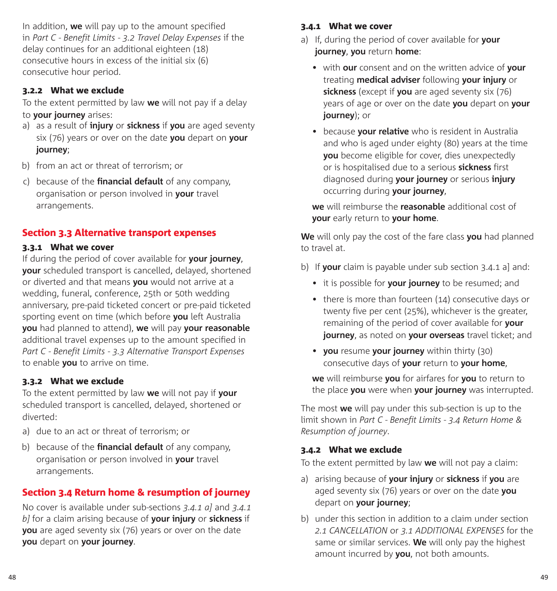In addition, **we** will pay up to the amount specified in *Part C - Benefit Limits - 3.2 Travel Delay Expenses* if the delay continues for an additional eighteen (18) consecutive hours in excess of the initial six (6) consecutive hour period.

#### 3.2.2 What we exclude

To the extent permitted by law **we** will not pay if a delay to **your journey** arises:

- a) as a result of **injury** or **sickness** if **you** are aged seventy six (76) years or over on the date **you** depart on **your journey**;
- b) from an act or threat of terrorism; or
- c) because of the **financial default** of any company, organisation or person involved in **your** travel arrangements.

### Section 3.3 Alternative transport expenses

#### 3.3.1 What we cover

If during the period of cover available for **your journey**, **your** scheduled transport is cancelled, delayed, shortened or diverted and that means **you** would not arrive at a wedding, funeral, conference, 25th or 50th wedding anniversary, pre-paid ticketed concert or pre-paid ticketed sporting event on time (which before **you** left Australia **you** had planned to attend), **we** will pay **your reasonable** additional travel expenses up to the amount specified in *Part C - Benefit Limits - 3.3 Alternative Transport Expenses* to enable **you** to arrive on time.

#### 3.3.2 What we exclude

To the extent permitted by law **we** will not pay if **your** scheduled transport is cancelled, delayed, shortened or diverted:

- a) due to an act or threat of terrorism; or
- b) because of the **financial default** of any company, organisation or person involved in **your** travel arrangements.

## Section 3.4 Return home & resumption of journey

No cover is available under sub-sections *3.4.1 a]* and *3.4.1 b]* for a claim arising because of **your injury** or **sickness** if **you** are aged seventy six (76) years or over on the date **you** depart on **your journey**.

#### 3.4.1 What we cover

- a) If, during the period of cover available for **your journey**, **you** return **home**:
	- with **our** consent and on the written advice of **your** treating **medical adviser** following **your injury** or **sickness** (except if **you** are aged seventy six (76) years of age or over on the date **you** depart on **your journey**); or
	- because **your relative** who is resident in Australia and who is aged under eighty (80) years at the time **you** become eligible for cover, dies unexpectedly or is hospitalised due to a serious **sickness** first diagnosed during **your journey** or serious **injury** occurring during **your journey**,

**we** will reimburse the **reasonable** additional cost of **your** early return to **your home**.

**We** will only pay the cost of the fare class **you** had planned to travel at.

- b) If **your** claim is payable under sub section 3.4.1 a] and:
	- it is possible for **your journey** to be resumed; and
	- there is more than fourteen (14) consecutive days or twenty five per cent (25%), whichever is the greater, remaining of the period of cover available for **your journey**, as noted on **your overseas** travel ticket; and
	- **you** resume **your journey** within thirty (30) consecutive days of **your** return to **your home**,

**we** will reimburse **you** for airfares for **you** to return to the place **you** were when **your journey** was interrupted.

The most **we** will pay under this sub-section is up to the limit shown in *Part C - Benefit Limits - 3.4 Return Home & Resumption of journey*.

#### 3.4.2 What we exclude

To the extent permitted by law **we** will not pay a claim:

- a) arising because of **your injury** or **sickness** if **you** are aged seventy six (76) years or over on the date **you** depart on **your journey**;
- b) under this section in addition to a claim under section *2.1 CANCELLATION* or *3.1 ADDITIONAL EXPENSES* for the same or similar services. **We** will only pay the highest amount incurred by **you**, not both amounts.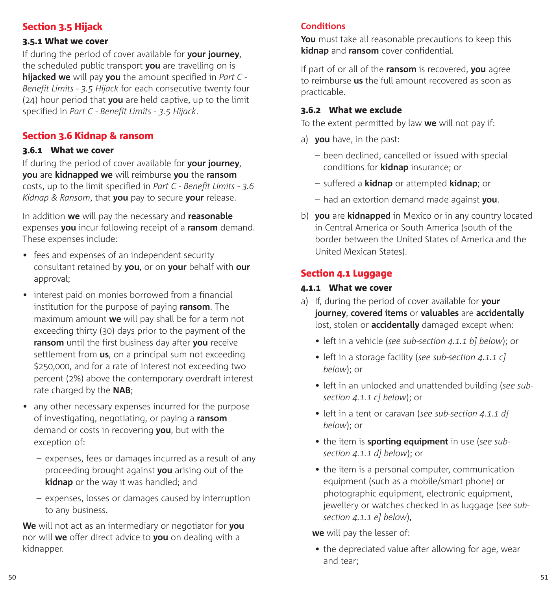## Section 3.5 Hijack

### 3.5.1 What we cover

If during the period of cover available for **your journey**, the scheduled public transport **you** are travelling on is **hijacked we** will pay **you** the amount specified in *Part C - Benefit Limits - 3.5 Hijack* for each consecutive twenty four (24) hour period that **you** are held captive, up to the limit specified in *Part C - Benefit Limits - 3.5 Hijack*.

## Section 3.6 Kidnap & ransom

### 3.6.1 What we cover

If during the period of cover available for **your journey**, **you** are **kidnapped we** will reimburse **you** the **ransom** costs, up to the limit specified in *Part C - Benefit Limits - 3.6 Kidnap & Ransom*, that **you** pay to secure **your** release.

In addition **we** will pay the necessary and **reasonable** expenses **you** incur following receipt of a **ransom** demand. These expenses include:

- fees and expenses of an independent security consultant retained by **you**, or on **your** behalf with **our** approval;
- interest paid on monies borrowed from a financial institution for the purpose of paying **ransom**. The maximum amount **we** will pay shall be for a term not exceeding thirty (30) days prior to the payment of the **ransom** until the first business day after **you** receive settlement from **us**, on a principal sum not exceeding \$250,000, and for a rate of interest not exceeding two percent (2%) above the contemporary overdraft interest rate charged by the **NAB**;
- any other necessary expenses incurred for the purpose of investigating, negotiating, or paying a **ransom** demand or costs in recovering **you**, but with the exception of:
	- expenses, fees or damages incurred as a result of any proceeding brought against **you** arising out of the **kidnap** or the way it was handled; and
	- expenses, losses or damages caused by interruption to any business.

**We** will not act as an intermediary or negotiator for **you** nor will **we** offer direct advice to **you** on dealing with a kidnapper.

## **Conditions**

**You** must take all reasonable precautions to keep this **kidnap** and **ransom** cover confidential.

If part of or all of the **ransom** is recovered, **you** agree to reimburse **us** the full amount recovered as soon as practicable.

### 3.6.2 What we exclude

To the extent permitted by law **we** will not pay if:

- a) **you** have, in the past:
	- been declined, cancelled or issued with special conditions for **kidnap** insurance; or
	- suffered a **kidnap** or attempted **kidnap**; or
	- had an extortion demand made against **you**.
- b) **you** are **kidnapped** in Mexico or in any country located in Central America or South America (south of the border between the United States of America and the United Mexican States).

### Section 4.1 Luggage

#### 4.1.1 What we cover

- a) If, during the period of cover available for **your journey**, **covered items** or **valuables** are **accidentally** lost, stolen or **accidentally** damaged except when:
	- left in a vehicle (*see sub-section 4.1.1 b] below*); or
	- left in a storage facility (*see sub-section 4.1.1 c] below*); or
	- left in an unlocked and unattended building (*see subsection 4.1.1 c] below*); or
	- left in a tent or caravan (*see sub-section 4.1.1 d] below*); or
	- the item is **sporting equipment** in use (*see subsection 4.1.1 d] below*); or
	- the item is a personal computer, communication equipment (such as a mobile/smart phone) or photographic equipment, electronic equipment, jewellery or watches checked in as luggage (*see subsection 4.1.1 e] below*),

**we** will pay the lesser of:

• the depreciated value after allowing for age, wear and tear;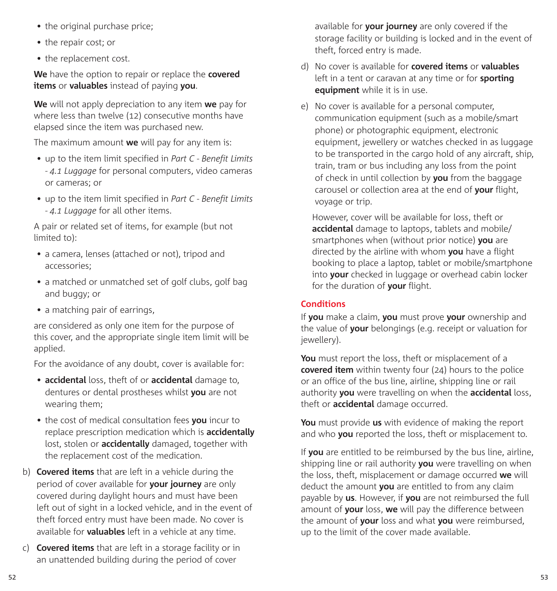- the original purchase price;
- the repair cost; or
- the replacement cost.

**We** have the option to repair or replace the **covered items** or **valuables** instead of paying **you**.

**We** will not apply depreciation to any item **we** pay for where less than twelve (12) consecutive months have elapsed since the item was purchased new.

The maximum amount **we** will pay for any item is:

- up to the item limit specified in *Part C Benefit Limits - 4.1 Luggage* for personal computers, video cameras or cameras; or
- up to the item limit specified in *Part C Benefit Limits - 4.1 Luggage* for all other items.

A pair or related set of items, for example (but not limited to):

- a camera, lenses (attached or not), tripod and accessories;
- a matched or unmatched set of golf clubs, golf bag and buggy; or
- a matching pair of earrings,

are considered as only one item for the purpose of this cover, and the appropriate single item limit will be applied.

For the avoidance of any doubt, cover is available for:

- **accidental** loss, theft of or **accidental** damage to, dentures or dental prostheses whilst **you** are not wearing them;
- the cost of medical consultation fees **you** incur to replace prescription medication which is **accidentally** lost, stolen or **accidentally** damaged, together with the replacement cost of the medication.
- b) **Covered items** that are left in a vehicle during the period of cover available for **your journey** are only covered during daylight hours and must have been left out of sight in a locked vehicle, and in the event of theft forced entry must have been made. No cover is available for **valuables** left in a vehicle at any time.
- c) **Covered items** that are left in a storage facility or in an unattended building during the period of cover

available for **your journey** are only covered if the storage facility or building is locked and in the event of theft, forced entry is made.

- d) No cover is available for **covered items** or **valuables** left in a tent or caravan at any time or for **sporting equipment** while it is in use.
- e) No cover is available for a personal computer, communication equipment (such as a mobile/smart phone) or photographic equipment, electronic equipment, jewellery or watches checked in as luggage to be transported in the cargo hold of any aircraft, ship, train, tram or bus including any loss from the point of check in until collection by **you** from the baggage carousel or collection area at the end of **your** flight, voyage or trip.

However, cover will be available for loss, theft or **accidental** damage to laptops, tablets and mobile/ smartphones when (without prior notice) **you** are directed by the airline with whom **you** have a flight booking to place a laptop, tablet or mobile/smartphone into **your** checked in luggage or overhead cabin locker for the duration of **your** flight.

## **Conditions**

If **you** make a claim, **you** must prove **your** ownership and the value of **your** belongings (e.g. receipt or valuation for jewellery).

**You** must report the loss, theft or misplacement of a **covered item** within twenty four (24) hours to the police or an office of the bus line, airline, shipping line or rail authority **you** were travelling on when the **accidental** loss, theft or **accidental** damage occurred.

**You** must provide **us** with evidence of making the report and who **you** reported the loss, theft or misplacement to.

If **you** are entitled to be reimbursed by the bus line, airline, shipping line or rail authority **you** were travelling on when the loss, theft, misplacement or damage occurred **we** will deduct the amount **you** are entitled to from any claim payable by **us**. However, if **you** are not reimbursed the full amount of **your** loss, **we** will pay the difference between the amount of **your** loss and what **you** were reimbursed, up to the limit of the cover made available.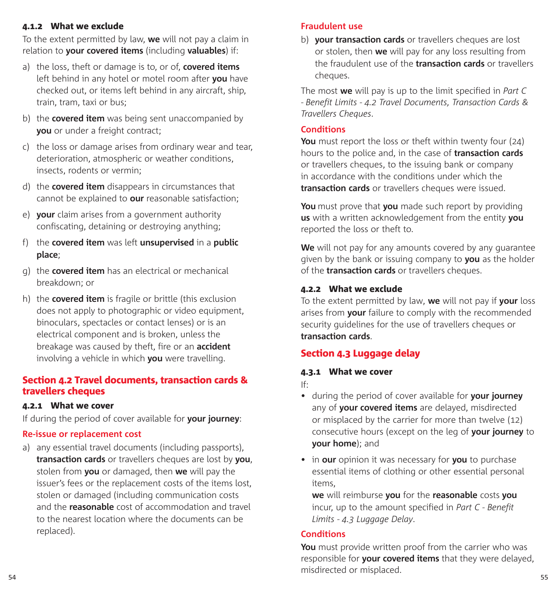#### 4.1.2 What we exclude

To the extent permitted by law, **we** will not pay a claim in relation to **your covered items** (including **valuables**) if:

- a) the loss, theft or damage is to, or of, **covered items** left behind in any hotel or motel room after **you** have checked out, or items left behind in any aircraft, ship, train, tram, taxi or bus;
- b) the **covered item** was being sent unaccompanied by **you** or under a freight contract;
- c) the loss or damage arises from ordinary wear and tear, deterioration, atmospheric or weather conditions, insects, rodents or vermin;
- d) the **covered item** disappears in circumstances that cannot be explained to **our** reasonable satisfaction;
- e) **your** claim arises from a government authority confiscating, detaining or destroying anything;
- f) the **covered item** was left **unsupervised** in a **public place**;
- g) the **covered item** has an electrical or mechanical breakdown; or
- h) the **covered item** is fragile or brittle (this exclusion does not apply to photographic or video equipment, binoculars, spectacles or contact lenses) or is an electrical component and is broken, unless the breakage was caused by theft, fire or an **accident** involving a vehicle in which **you** were travelling.

### Section 4.2 Travel documents, transaction cards & travellers cheques

#### 4.2.1 What we cover

If during the period of cover available for **your journey**:

#### **Re-issue or replacement cost**

a) any essential travel documents (including passports), **transaction cards** or travellers cheques are lost by **you**, stolen from **you** or damaged, then **we** will pay the issuer's fees or the replacement costs of the items lost, stolen or damaged (including communication costs and the **reasonable** cost of accommodation and travel to the nearest location where the documents can be replaced).

#### **Fraudulent use**

b) **your transaction cards** or travellers cheques are lost or stolen, then **we** will pay for any loss resulting from the fraudulent use of the **transaction cards** or travellers cheques.

The most **we** will pay is up to the limit specified in *Part C - Benefit Limits - 4.2 Travel Documents, Transaction Cards & Travellers Cheques*.

#### **Conditions**

**You** must report the loss or theft within twenty four (24) hours to the police and, in the case of **transaction cards** or travellers cheques, to the issuing bank or company in accordance with the conditions under which the **transaction cards** or travellers cheques were issued.

**You** must prove that **you** made such report by providing **us** with a written acknowledgement from the entity **you** reported the loss or theft to.

**We** will not pay for any amounts covered by any guarantee given by the bank or issuing company to **you** as the holder of the **transaction cards** or travellers cheques.

### 4.2.2 What we exclude

To the extent permitted by law, **we** will not pay if **your** loss arises from **your** failure to comply with the recommended security guidelines for the use of travellers cheques or **transaction cards**.

## Section 4.3 Luggage delay

#### 4.3.1 What we cover

If:

- during the period of cover available for **your journey** any of **your covered items** are delayed, misdirected or misplaced by the carrier for more than twelve (12) consecutive hours (except on the leg of **your journey** to **your home**); and
- in **our** opinion it was necessary for **you** to purchase essential items of clothing or other essential personal items,

**we** will reimburse **you** for the **reasonable** costs **you** incur, up to the amount specified in *Part C - Benefit Limits - 4.3 Luggage Delay*.

#### **Conditions**

54 55 **You** must provide written proof from the carrier who was responsible for **your covered items** that they were delayed, misdirected or misplaced.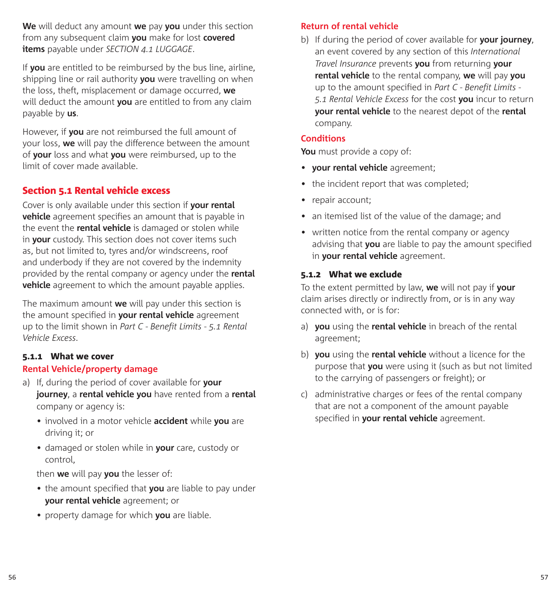**We** will deduct any amount **we** pay **you** under this section from any subsequent claim **you** make for lost **covered items** payable under *SECTION 4.1 LUGGAGE*.

If **you** are entitled to be reimbursed by the bus line, airline, shipping line or rail authority **you** were travelling on when the loss, theft, misplacement or damage occurred, **we**  will deduct the amount **you** are entitled to from any claim payable by **us**.

However, if **you** are not reimbursed the full amount of your loss, **we** will pay the difference between the amount of **your** loss and what **you** were reimbursed, up to the limit of cover made available.

### Section 5.1 Rental vehicle excess

Cover is only available under this section if **your rental vehicle** agreement specifies an amount that is payable in the event the **rental vehicle** is damaged or stolen while in **your** custody. This section does not cover items such as, but not limited to, tyres and/or windscreens, roof and underbody if they are not covered by the indemnity provided by the rental company or agency under the **rental vehicle** agreement to which the amount payable applies.

The maximum amount **we** will pay under this section is the amount specified in **your rental vehicle** agreement up to the limit shown in *Part C - Benefit Limits - 5.1 Rental Vehicle Excess*.

#### 5.1.1 What we cover

#### **Rental Vehicle/property damage**

- a) If, during the period of cover available for **your journey**, a **rental vehicle you** have rented from a **rental**  company or agency is:
	- involved in a motor vehicle **accident** while **you** are driving it; or
	- damaged or stolen while in **your** care, custody or control,

then **we** will pay **you** the lesser of:

- the amount specified that **you** are liable to pay under **your rental vehicle** agreement; or
- property damage for which **you** are liable.

### **Return of rental vehicle**

b) If during the period of cover available for **your journey**, an event covered by any section of this *International Travel Insurance* prevents **you** from returning **your rental vehicle** to the rental company, **we** will pay **you** up to the amount specified in *Part C - Benefit Limits - 5.1 Rental Vehicle Excess* for the cost **you** incur to return **your rental vehicle** to the nearest depot of the **rental** company.

#### **Conditions**

**You** must provide a copy of:

- **your rental vehicle** agreement;
- the incident report that was completed;
- repair account;
- an itemised list of the value of the damage; and
- written notice from the rental company or agency advising that **you** are liable to pay the amount specified in **your rental vehicle** agreement.

#### 5.1.2 What we exclude

To the extent permitted by law, **we** will not pay if **your**  claim arises directly or indirectly from, or is in any way connected with, or is for:

- a) **you** using the **rental vehicle** in breach of the rental agreement;
- b) **you** using the **rental vehicle** without a licence for the purpose that **you** were using it (such as but not limited to the carrying of passengers or freight); or
- c) administrative charges or fees of the rental company that are not a component of the amount payable specified in **your rental vehicle** agreement.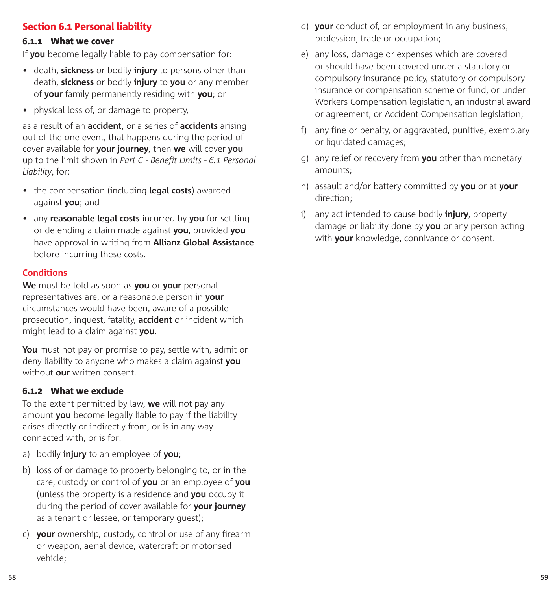## Section 6.1 Personal liability

#### 6.1.1 What we cover

If **you** become legally liable to pay compensation for:

- death, **sickness** or bodily **injury** to persons other than death, **sickness** or bodily **injury** to **you** or any member of **your** family permanently residing with **you**; or
- physical loss of, or damage to property,

as a result of an **accident**, or a series of **accidents** arising out of the one event, that happens during the period of cover available for **your journey**, then **we** will cover **you**  up to the limit shown in *Part C - Benefit Limits - 6.1 Personal Liability*, for:

- the compensation (including **legal costs**) awarded against **you**; and
- any **reasonable legal costs** incurred by **you** for settling or defending a claim made against **you**, provided **you**  have approval in writing from **Allianz Global Assistance** before incurring these costs.

#### **Conditions**

**We** must be told as soon as **you** or **your** personal representatives are, or a reasonable person in **your**  circumstances would have been, aware of a possible prosecution, inquest, fatality, **accident** or incident which might lead to a claim against **you**.

**You** must not pay or promise to pay, settle with, admit or deny liability to anyone who makes a claim against **you**  without **our** written consent.

#### 6.1.2 What we exclude

To the extent permitted by law, **we** will not pay any amount **you** become legally liable to pay if the liability arises directly or indirectly from, or is in any way connected with, or is for:

- a) bodily **injury** to an employee of **you**;
- b) loss of or damage to property belonging to, or in the care, custody or control of **you** or an employee of **you**  (unless the property is a residence and **you** occupy it during the period of cover available for **your journey**  as a tenant or lessee, or temporary guest);
- c) **your** ownership, custody, control or use of any firearm or weapon, aerial device, watercraft or motorised vehicle;
- d) **your** conduct of, or employment in any business, profession, trade or occupation;
- e) any loss, damage or expenses which are covered or should have been covered under a statutory or compulsory insurance policy, statutory or compulsory insurance or compensation scheme or fund, or under Workers Compensation legislation, an industrial award or agreement, or Accident Compensation legislation;
- f) any fine or penalty, or aggravated, punitive, exemplary or liquidated damages;
- g) any relief or recovery from **you** other than monetary amounts;
- h) assault and/or battery committed by **you** or at **your**  direction;
- i) any act intended to cause bodily **injury**, property damage or liability done by **you** or any person acting with **your** knowledge, connivance or consent.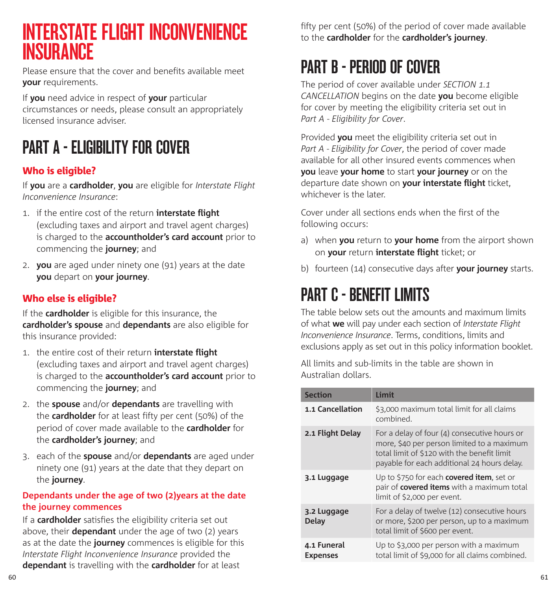## INTERSTATE FLIGHT INCONVENIENCE **INSURANCE**

Please ensure that the cover and benefits available meet **your** requirements.

If **you** need advice in respect of **your** particular circumstances or needs, please consult an appropriately licensed insurance adviser.

# PART A - FLIGIRILITY FOR COVER

## Who is eligible?

If **you** are a **cardholder**, **you** are eligible for *Interstate Flight Inconvenience Insurance*:

- 1. if the entire cost of the return **interstate flight** (excluding taxes and airport and travel agent charges) is charged to the **accountholder's card account** prior to commencing the **journey**; and
- 2. **you** are aged under ninety one (91) years at the date **you** depart on **your journey**.

## Who else is eligible?

If the **cardholder** is eligible for this insurance, the **cardholder's spouse** and **dependants** are also eligible for this insurance provided:

- 1. the entire cost of their return **interstate flight** (excluding taxes and airport and travel agent charges) is charged to the **accountholder's card account** prior to commencing the **journey**; and
- 2. the **spouse** and/or **dependants** are travelling with the **cardholder** for at least fifty per cent (50%) of the period of cover made available to the **cardholder** for the **cardholder's journey**; and
- 3. each of the **spouse** and/or **dependants** are aged under ninety one (91) years at the date that they depart on the **journey**.

### **Dependants under the age of two (2)years at the date the journey commences**

If a **cardholder** satisfies the eligibility criteria set out above, their **dependant** under the age of two (2) years as at the date the **journey** commences is eligible for this *Interstate Flight Inconvenience Insurance* provided the **dependant** is travelling with the **cardholder** for at least

fifty per cent (50%) of the period of cover made available to the **cardholder** for the **cardholder's journey**.

## PART B - PERIOD OF COVER

The period of cover available under *SECTION 1.1 CANCELLATION* begins on the date **you** become eligible for cover by meeting the eligibility criteria set out in *Part A - Eligibility for Cover*.

Provided **you** meet the eligibility criteria set out in *Part A - Eligibility for Cover*, the period of cover made available for all other insured events commences when **you** leave **your home** to start **your journey** or on the departure date shown on **your interstate flight** ticket, whichever is the later.

Cover under all sections ends when the first of the following occurs:

- a) when **you** return to **your home** from the airport shown on **your** return **interstate flight** ticket; or
- b) fourteen (14) consecutive days after **your journey** starts.

## PART C - BENEFIT LIMITS

The table below sets out the amounts and maximum limits of what **we** will pay under each section of *Interstate Flight Inconvenience Insurance*. Terms, conditions, limits and exclusions apply as set out in this policy information booklet.

All limits and sub-limits in the table are shown in Australian dollars.

| <b>Section</b>                 | Limit                                                                                                                                                                                    |
|--------------------------------|------------------------------------------------------------------------------------------------------------------------------------------------------------------------------------------|
| 1.1 Cancellation               | \$3,000 maximum total limit for all claims<br>combined.                                                                                                                                  |
| 2.1 Flight Delay               | For a delay of four (4) consecutive hours or<br>more, \$40 per person limited to a maximum<br>total limit of \$120 with the benefit limit<br>payable for each additional 24 hours delay. |
| 3.1 Luggage                    | Up to \$750 for each <b>covered item</b> , set or<br>pair of <b>covered items</b> with a maximum total<br>limit of \$2,000 per event.                                                    |
| 3.2 Luggage<br>Delay           | For a delay of twelve (12) consecutive hours<br>or more, \$200 per person, up to a maximum<br>total limit of \$600 per event.                                                            |
| 4.1 Funeral<br><b>Expenses</b> | Up to \$3,000 per person with a maximum<br>total limit of \$9,000 for all claims combined.                                                                                               |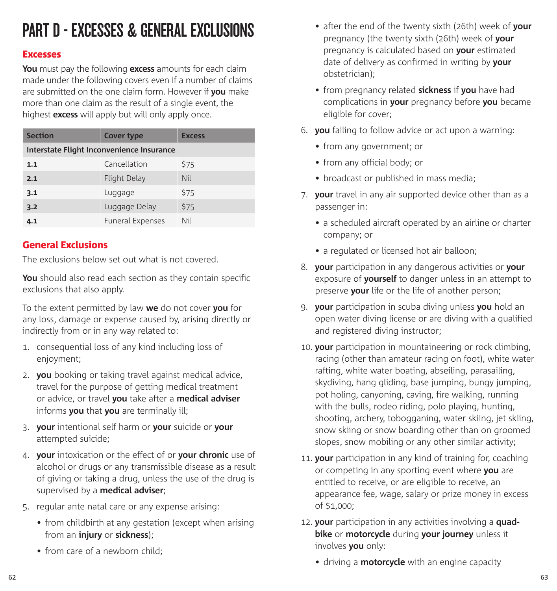# PART D - EXCESSES & GENERAL EXCLUSIONS

#### Excesses

**You** must pay the following **excess** amounts for each claim made under the following covers even if a number of claims are submitted on the one claim form. However if **you** make more than one claim as the result of a single event, the highest **excess** will apply but will only apply once.

| <b>Section</b>                            | <b>Cover type</b>       | <b>Excess</b> |  |  |
|-------------------------------------------|-------------------------|---------------|--|--|
| Interstate Flight Inconvenience Insurance |                         |               |  |  |
| 1.1                                       | Cancellation            | \$75          |  |  |
| 2.1                                       | Flight Delay            | <b>Nil</b>    |  |  |
| 3.1                                       | Luggage                 | \$75          |  |  |
| 3.2                                       | Luggage Delay           | \$75          |  |  |
| 4.1                                       | <b>Funeral Expenses</b> | Nil           |  |  |

### General Exclusions

The exclusions below set out what is not covered.

**You** should also read each section as they contain specific exclusions that also apply.

To the extent permitted by law **we** do not cover **you** for any loss, damage or expense caused by, arising directly or indirectly from or in any way related to:

- 1. consequential loss of any kind including loss of enjoyment;
- 2. **you** booking or taking travel against medical advice, travel for the purpose of getting medical treatment or advice, or travel **you** take after a **medical adviser**  informs **you** that **you** are terminally ill;
- 3. **your** intentional self harm or **your** suicide or **your**  attempted suicide;
- 4. **your** intoxication or the effect of or **your chronic** use of alcohol or drugs or any transmissible disease as a result of giving or taking a drug, unless the use of the drug is supervised by a **medical adviser**;
- 5. regular ante natal care or any expense arising:
	- from childbirth at any gestation (except when arising from an **injury** or **sickness**);
	- from care of a newborn child:
- after the end of the twenty sixth (26th) week of **your**  pregnancy (the twenty sixth (26th) week of **your**  pregnancy is calculated based on **your** estimated date of delivery as confirmed in writing by **your**  obstetrician);
- from pregnancy related **sickness** if **you** have had complications in **your** pregnancy before **you** became eligible for cover;
- 6. **you** failing to follow advice or act upon a warning:
	- from any government; or
	- from any official body; or
	- broadcast or published in mass media;
- 7. **your** travel in any air supported device other than as a passenger in:
	- a scheduled aircraft operated by an airline or charter company; or
	- a regulated or licensed hot air balloon;
- 8. **your** participation in any dangerous activities or **your**  exposure of **yourself** to danger unless in an attempt to preserve **your** life or the life of another person;
- 9. **your** participation in scuba diving unless **you** hold an open water diving license or are diving with a qualified and registered diving instructor;
- 10. **your** participation in mountaineering or rock climbing, racing (other than amateur racing on foot), white water rafting, white water boating, abseiling, parasailing, skydiving, hang gliding, base jumping, bungy jumping, pot holing, canyoning, caving, fire walking, running with the bulls, rodeo riding, polo playing, hunting, shooting, archery, tobogganing, water skiing, jet skiing, snow skiing or snow boarding other than on groomed slopes, snow mobiling or any other similar activity;
- 11. **your** participation in any kind of training for, coaching or competing in any sporting event where **you** are entitled to receive, or are eligible to receive, an appearance fee, wage, salary or prize money in excess of \$1,000;
- 12. **your** participation in any activities involving a **quadbike** or **motorcycle** during **your journey** unless it involves **you** only:
	- driving a **motorcycle** with an engine capacity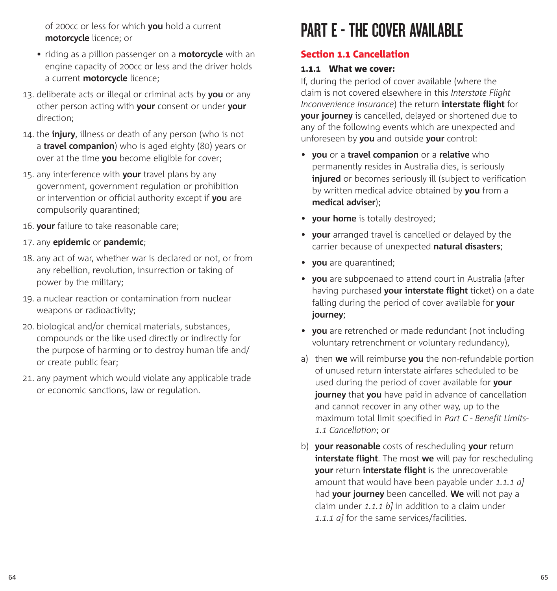of 200cc or less for which **you** hold a current **motorcycle** licence; or

- riding as a pillion passenger on a **motorcycle** with an engine capacity of 200cc or less and the driver holds a current **motorcycle** licence;
- 13. deliberate acts or illegal or criminal acts by **you** or any other person acting with **your** consent or under **your**  direction;
- 14. the **injury**, illness or death of any person (who is not a **travel companion**) who is aged eighty (80) years or over at the time **you** become eligible for cover;
- 15. any interference with **your** travel plans by any government, government regulation or prohibition or intervention or official authority except if **you** are compulsorily quarantined;
- 16. **your** failure to take reasonable care;
- 17. any **epidemic** or **pandemic**;
- 18. any act of war, whether war is declared or not, or from any rebellion, revolution, insurrection or taking of power by the military;
- 19. a nuclear reaction or contamination from nuclear weapons or radioactivity;
- 20. biological and/or chemical materials, substances, compounds or the like used directly or indirectly for the purpose of harming or to destroy human life and/ or create public fear;
- 21. any payment which would violate any applicable trade or economic sanctions, law or regulation.

# PART F - THE COVER AVAILARLE

## Section 1.1 Cancellation

### 1.1.1 What we cover:

If, during the period of cover available (where the claim is not covered elsewhere in this *Interstate Flight Inconvenience Insurance*) the return **interstate flight** for **your journey** is cancelled, delayed or shortened due to any of the following events which are unexpected and unforeseen by **you** and outside **your** control:

- **you** or a **travel companion** or a **relative** who permanently resides in Australia dies, is seriously **injured** or becomes seriously ill (subject to verification by written medical advice obtained by **you** from a **medical adviser**);
- **your home** is totally destroyed;
- **your** arranged travel is cancelled or delayed by the carrier because of unexpected **natural disasters**;
- **you** are quarantined;
- **you** are subpoenaed to attend court in Australia (after having purchased **your interstate flight** ticket) on a date falling during the period of cover available for **your journey**;
- **you** are retrenched or made redundant (not including voluntary retrenchment or voluntary redundancy),
- a) then **we** will reimburse **you** the non-refundable portion of unused return interstate airfares scheduled to be used during the period of cover available for **your journey** that **you** have paid in advance of cancellation and cannot recover in any other way, up to the maximum total limit specified in *Part C - Benefit Limits-1.1 Cancellation*; or
- b) **your reasonable** costs of rescheduling **your** return **interstate flight**. The most **we** will pay for rescheduling **your** return **interstate flight** is the unrecoverable amount that would have been payable under *1.1.1 a]* had **your journey** been cancelled. **We** will not pay a claim under *1.1.1 b]* in addition to a claim under *1.1.1 a]* for the same services/facilities.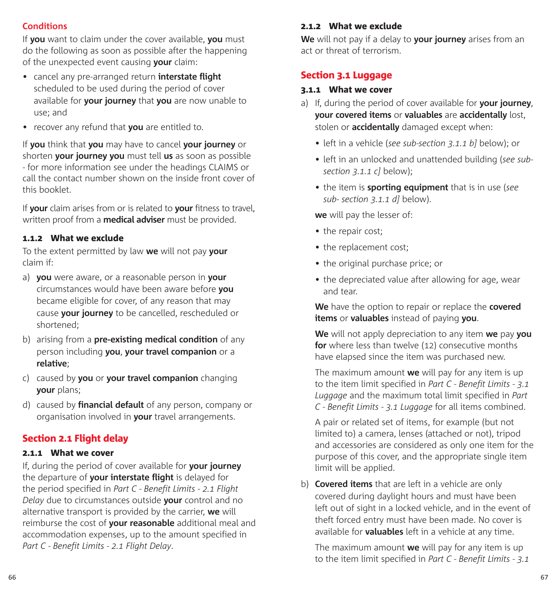#### **Conditions**

If **you** want to claim under the cover available, **you** must do the following as soon as possible after the happening of the unexpected event causing **your** claim:

- cancel any pre-arranged return **interstate flight** scheduled to be used during the period of cover available for **your journey** that **you** are now unable to use; and
- recover any refund that **you** are entitled to.

If **you** think that **you** may have to cancel **your journey** or shorten **your journey you** must tell **us** as soon as possible - for more information see under the headings CLAIMS or call the contact number shown on the inside front cover of this booklet.

If **your** claim arises from or is related to **your** fitness to travel, written proof from a **medical adviser** must be provided.

#### 1.1.2 What we exclude

To the extent permitted by law **we** will not pay **your**  claim if:

- a) **you** were aware, or a reasonable person in **your**  circumstances would have been aware before **you**  became eligible for cover, of any reason that may cause **your journey** to be cancelled, rescheduled or shortened;
- b) arising from a **pre-existing medical condition** of any person including **you**, **your travel companion** or a **relative**;
- c) caused by **you** or **your travel companion** changing **your** plans;
- d) caused by **financial default** of any person, company or organisation involved in **your** travel arrangements.

### Section 2.1 Flight delay

#### 2.1.1 What we cover

If, during the period of cover available for **your journey** the departure of **your interstate flight** is delayed for the period specified in *Part C - Benefit Limits - 2.1 Flight Delay* due to circumstances outside **your** control and no alternative transport is provided by the carrier, **we** will reimburse the cost of **your reasonable** additional meal and accommodation expenses, up to the amount specified in *Part C - Benefit Limits - 2.1 Flight Delay*.

#### 2.1.2 What we exclude

**We** will not pay if a delay to **your journey** arises from an act or threat of terrorism.

### Section 3.1 Luggage

#### 3.1.1 What we cover

- a) If, during the period of cover available for **your journey**, **your covered items** or **valuables** are **accidentally** lost, stolen or **accidentally** damaged except when:
	- left in a vehicle (*see sub-section 3.1.1 b]* below); or
	- left in an unlocked and unattended building (*see subsection 3.1.1 c]* below);
	- the item is **sporting equipment** that is in use (*see sub- section 3.1.1 d]* below).

**we** will pay the lesser of:

- the repair cost:
- the replacement cost;
- the original purchase price; or
- the depreciated value after allowing for age, wear and tear.

**We** have the option to repair or replace the **covered items** or **valuables** instead of paying **you**.

**We** will not apply depreciation to any item **we** pay **you for** where less than twelve (12) consecutive months have elapsed since the item was purchased new.

The maximum amount **we** will pay for any item is up to the item limit specified in *Part C - Benefit Limits - 3.1 Luggage* and the maximum total limit specified in *Part C - Benefit Limits - 3.1 Luggage* for all items combined.

A pair or related set of items, for example (but not limited to) a camera, lenses (attached or not), tripod and accessories are considered as only one item for the purpose of this cover, and the appropriate single item limit will be applied.

b) **Covered items** that are left in a vehicle are only covered during daylight hours and must have been left out of sight in a locked vehicle, and in the event of theft forced entry must have been made. No cover is available for **valuables** left in a vehicle at any time.

The maximum amount **we** will pay for any item is up to the item limit specified in *Part C - Benefit Limits - 3.1*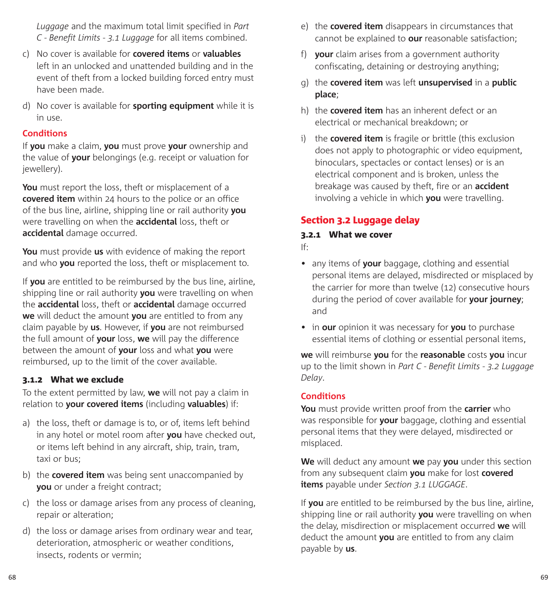*Luggage* and the maximum total limit specified in *Part C - Benefit Limits - 3.1 Luggage* for all items combined.

- c) No cover is available for **covered items** or **valuables** left in an unlocked and unattended building and in the event of theft from a locked building forced entry must have been made.
- d) No cover is available for **sporting equipment** while it is in use.

#### **Conditions**

If **you** make a claim, **you** must prove **your** ownership and the value of **your** belongings (e.g. receipt or valuation for jewellery).

**You** must report the loss, theft or misplacement of a **covered item** within 24 hours to the police or an office of the bus line, airline, shipping line or rail authority **you**  were travelling on when the **accidental** loss, theft or **accidental** damage occurred.

**You** must provide **us** with evidence of making the report and who **you** reported the loss, theft or misplacement to.

If **you** are entitled to be reimbursed by the bus line, airline, shipping line or rail authority **you** were travelling on when the **accidental** loss, theft or **accidental** damage occurred **we** will deduct the amount **you** are entitled to from any claim payable by **us**. However, if **you** are not reimbursed the full amount of **your** loss, **we** will pay the difference between the amount of **your** loss and what **you** were reimbursed, up to the limit of the cover available.

### 3.1.2 What we exclude

To the extent permitted by law, **we** will not pay a claim in relation to **your covered items** (including **valuables**) if:

- a) the loss, theft or damage is to, or of, items left behind in any hotel or motel room after **you** have checked out, or items left behind in any aircraft, ship, train, tram, taxi or bus;
- b) the **covered item** was being sent unaccompanied by **you** or under a freight contract;
- c) the loss or damage arises from any process of cleaning, repair or alteration;
- d) the loss or damage arises from ordinary wear and tear, deterioration, atmospheric or weather conditions, insects, rodents or vermin;
- e) the **covered item** disappears in circumstances that cannot be explained to **our** reasonable satisfaction;
- f) **your** claim arises from a government authority confiscating, detaining or destroying anything;
- g) the **covered item** was left **unsupervised** in a **public place**;
- h) the **covered item** has an inherent defect or an electrical or mechanical breakdown; or
- i) the **covered item** is fragile or brittle (this exclusion does not apply to photographic or video equipment. binoculars, spectacles or contact lenses) or is an electrical component and is broken, unless the breakage was caused by theft, fire or an **accident**  involving a vehicle in which **you** were travelling.

### Section 3.2 Luggage delay

#### 3.2.1 What we cover

- If:
- any items of **your** baggage, clothing and essential personal items are delayed, misdirected or misplaced by the carrier for more than twelve (12) consecutive hours during the period of cover available for **your journey**; and
- in **our** opinion it was necessary for **you** to purchase essential items of clothing or essential personal items,

**we** will reimburse **you** for the **reasonable** costs **you** incur up to the limit shown in *Part C - Benefit Limits - 3.2 Luggage Delay*.

#### **Conditions**

**You** must provide written proof from the **carrier** who was responsible for **your** baggage, clothing and essential personal items that they were delayed, misdirected or misplaced.

**We** will deduct any amount **we** pay **you** under this section from any subsequent claim **you** make for lost **covered items** payable under *Section 3.1 LUGGAGE*.

If **you** are entitled to be reimbursed by the bus line, airline, shipping line or rail authority **you** were travelling on when the delay, misdirection or misplacement occurred **we** will deduct the amount **you** are entitled to from any claim payable by **us**.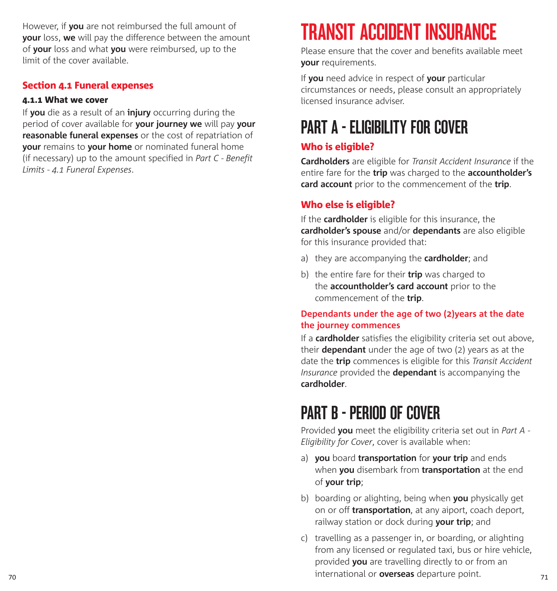However, if **you** are not reimbursed the full amount of **your** loss, **we** will pay the difference between the amount of **your** loss and what **you** were reimbursed, up to the limit of the cover available.

## Section 4.1 Funeral expenses

### 4.1.1 What we cover

If **you** die as a result of an **injury** occurring during the period of cover available for **your journey we** will pay **your reasonable funeral expenses** or the cost of repatriation of **your** remains to **your home** or nominated funeral home (if necessary) up to the amount specified in *Part C - Benefit Limits - 4.1 Funeral Expenses*.

# TRANSIT ACCIDENT INSURANCE

Please ensure that the cover and benefits available meet **your** requirements.

If **you** need advice in respect of **your** particular circumstances or needs, please consult an appropriately licensed insurance adviser.

# PART A - ELIGIRILITY FOR COVER

## Who is eligible?

**Cardholders** are eligible for *Transit Accident Insurance* if the entire fare for the **trip** was charged to the **accountholder's card account** prior to the commencement of the **trip**.

## Who else is eligible?

If the **cardholder** is eligible for this insurance, the **cardholder's spouse** and/or **dependants** are also eligible for this insurance provided that:

- a) they are accompanying the **cardholder**; and
- b) the entire fare for their **trip** was charged to the **accountholder's card account** prior to the commencement of the **trip**.

## **Dependants under the age of two (2)years at the date the journey commences**

If a **cardholder** satisfies the eligibility criteria set out above, their **dependant** under the age of two (2) years as at the date the **trip** commences is eligible for this *Transit Accident Insurance* provided the **dependant** is accompanying the **cardholder**.

## PART B - PERIOD OF COVER

Provided **you** meet the eligibility criteria set out in *Part A - Eligibility for Cover*, cover is available when:

- a) **you** board **transportation** for **your trip** and ends when **you** disembark from **transportation** at the end of **your trip**;
- b) boarding or alighting, being when **you** physically get on or off **transportation**, at any aiport, coach deport, railway station or dock during **your trip**; and
- 70 71 international or **overseas** departure point. c) travelling as a passenger in, or boarding, or alighting from any licensed or regulated taxi, bus or hire vehicle, provided **you** are travelling directly to or from an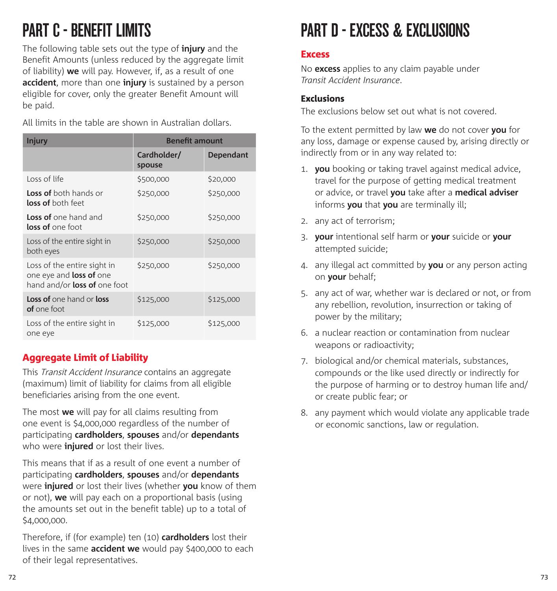# PART C - BENEFIT LIMITS

The following table sets out the type of **injury** and the Benefit Amounts (unless reduced by the aggregate limit of liability) **we** will pay. However, if, as a result of one **accident**, more than one **injury** is sustained by a person eligible for cover, only the greater Benefit Amount will be paid.

All limits in the table are shown in Australian dollars.

| <b>Injury</b>                                                                                        | <b>Benefit amount</b> |                  |
|------------------------------------------------------------------------------------------------------|-----------------------|------------------|
|                                                                                                      | Cardholder/<br>spouse | <b>Dependant</b> |
| Loss of life                                                                                         | \$500,000             | \$20,000         |
| <b>Loss of</b> both hands or<br><b>loss of</b> both feet                                             | \$250,000             | \$250,000        |
| <b>Loss of</b> one hand and<br><b>loss of</b> one foot                                               | \$250,000             | \$250,000        |
| Loss of the entire sight in<br>both eyes                                                             | \$250,000             | \$250,000        |
| Loss of the entire sight in<br>one eye and <b>loss of</b> one<br>hand and/or <b>loss of</b> one foot | \$250,000             | \$250,000        |
| Loss of one hand or loss<br>of one foot                                                              | \$125,000             | \$125,000        |
| Loss of the entire sight in<br>one eye                                                               | \$125,000             | \$125,000        |

## Aggregate Limit of Liability

This Transit Accident Insurance contains an aggregate (maximum) limit of liability for claims from all eligible beneficiaries arising from the one event.

The most **we** will pay for all claims resulting from one event is \$4,000,000 regardless of the number of participating **cardholders**, **spouses** and/or **dependants** who were **injured** or lost their lives.

This means that if as a result of one event a number of participating **cardholders**, **spouses** and/or **dependants** were **injured** or lost their lives (whether **you** know of them or not), **we** will pay each on a proportional basis (using the amounts set out in the benefit table) up to a total of \$4,000,000.

Therefore, if (for example) ten (10) **cardholders** lost their lives in the same **accident we** would pay \$400,000 to each of their legal representatives.

## PART D - EXCESS & EXCLUSIONS

### **Excess**

No **excess** applies to any claim payable under *Transit Accident Insurance*.

### Exclusions

The exclusions below set out what is not covered.

To the extent permitted by law **we** do not cover **you** for any loss, damage or expense caused by, arising directly or indirectly from or in any way related to:

- 1. **you** booking or taking travel against medical advice, travel for the purpose of getting medical treatment or advice, or travel **you** take after a **medical adviser** informs **you** that **you** are terminally ill;
- 2. any act of terrorism;
- 3. **your** intentional self harm or **your** suicide or **your** attempted suicide;
- 4. any illegal act committed by **you** or any person acting on **your** behalf;
- 5. any act of war, whether war is declared or not, or from any rebellion, revolution, insurrection or taking of power by the military;
- 6. a nuclear reaction or contamination from nuclear weapons or radioactivity;
- 7. biological and/or chemical materials, substances, compounds or the like used directly or indirectly for the purpose of harming or to destroy human life and/ or create public fear; or
- 8. any payment which would violate any applicable trade or economic sanctions, law or regulation.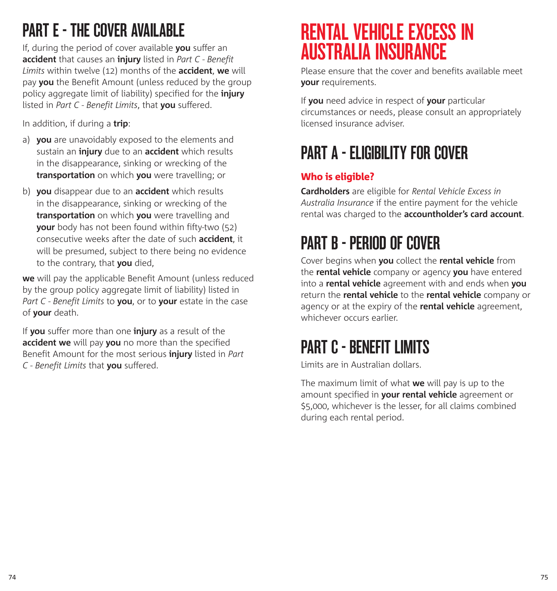# PART F - THE COVER AVAILARLE

If, during the period of cover available **you** suffer an **accident** that causes an **injury** listed in *Part C - Benefit Limits* within twelve (12) months of the **accident**, **we** will pay **you** the Benefit Amount (unless reduced by the group policy aggregate limit of liability) specified for the **injury**  listed in *Part C - Benefit Limits*, that **you** suffered.

In addition, if during a **trip**:

- a) **you** are unavoidably exposed to the elements and sustain an **injury** due to an **accident** which results in the disappearance, sinking or wrecking of the **transportation** on which **you** were travelling; or
- b) **you** disappear due to an **accident** which results in the disappearance, sinking or wrecking of the **transportation** on which **you** were travelling and **your** body has not been found within fifty-two (52) consecutive weeks after the date of such **accident**, it will be presumed, subject to there being no evidence to the contrary, that **you** died,

**we** will pay the applicable Benefit Amount (unless reduced by the group policy aggregate limit of liability) listed in *Part C - Benefit Limits* to **you**, or to **your** estate in the case of **your** death.

If **you** suffer more than one **injury** as a result of the **accident we** will pay **you** no more than the specified Benefit Amount for the most serious **injury** listed in *Part C - Benefit Limits* that **you** suffered.

# RENTAL VEHICLE EXCESS IN AUSTRALIA INSURANCE

Please ensure that the cover and benefits available meet **your** requirements.

If **you** need advice in respect of **your** particular circumstances or needs, please consult an appropriately licensed insurance adviser.

## PART A - ELIGIBILITY FNR COVFR

## Who is eligible?

**Cardholders** are eligible for *Rental Vehicle Excess in Australia Insurance* if the entire payment for the vehicle rental was charged to the **accountholder's card account**.

# PART B - PERIOD OF COVER

Cover begins when **you** collect the **rental vehicle** from the **rental vehicle** company or agency **you** have entered into a **rental vehicle** agreement with and ends when **you**  return the **rental vehicle** to the **rental vehicle** company or agency or at the expiry of the **rental vehicle** agreement, whichever occurs earlier.

# PART C - RENEFIT LIMITS

Limits are in Australian dollars.

The maximum limit of what **we** will pay is up to the amount specified in **your rental vehicle** agreement or \$5,000, whichever is the lesser, for all claims combined during each rental period.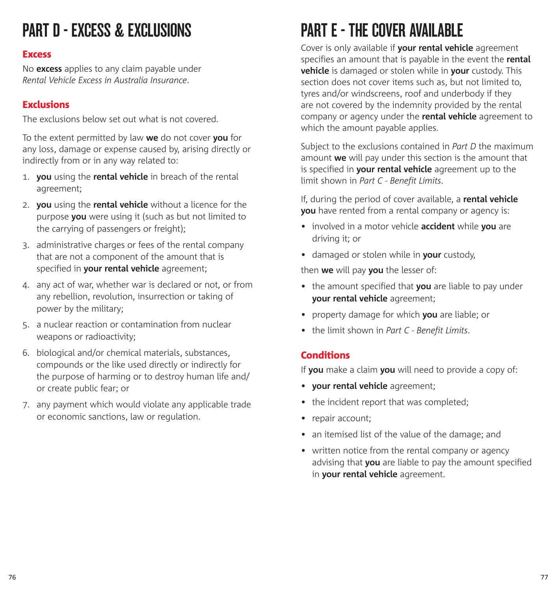# PART D - EXCESS & EXCLUSIONS

### **Excess**

No **excess** applies to any claim payable under *Rental Vehicle Excess in Australia Insurance*.

## Exclusions

The exclusions below set out what is not covered.

To the extent permitted by law **we** do not cover **you** for any loss, damage or expense caused by, arising directly or indirectly from or in any way related to:

- 1. **you** using the **rental vehicle** in breach of the rental agreement;
- 2. **you** using the **rental vehicle** without a licence for the purpose **you** were using it (such as but not limited to the carrying of passengers or freight);
- 3. administrative charges or fees of the rental company that are not a component of the amount that is specified in **your rental vehicle** agreement;
- 4. any act of war, whether war is declared or not, or from any rebellion, revolution, insurrection or taking of power by the military;
- 5. a nuclear reaction or contamination from nuclear weapons or radioactivity;
- 6. biological and/or chemical materials, substances, compounds or the like used directly or indirectly for the purpose of harming or to destroy human life and/ or create public fear; or
- 7. any payment which would violate any applicable trade or economic sanctions, law or regulation.

# PART F - THE COVER AVAILARLE

Cover is only available if **your rental vehicle** agreement specifies an amount that is payable in the event the **rental vehicle** is damaged or stolen while in **your** custody. This section does not cover items such as, but not limited to, tyres and/or windscreens, roof and underbody if they are not covered by the indemnity provided by the rental company or agency under the **rental vehicle** agreement to which the amount payable applies.

Subject to the exclusions contained in *Part D* the maximum amount **we** will pay under this section is the amount that is specified in **your rental vehicle** agreement up to the limit shown in *Part C - Benefit Limits*.

If, during the period of cover available, a **rental vehicle you** have rented from a rental company or agency is:

- involved in a motor vehicle **accident** while **you** are driving it; or
- damaged or stolen while in **your** custody,

then **we** will pay **you** the lesser of:

- the amount specified that **you** are liable to pay under **your rental vehicle** agreement;
- property damage for which **you** are liable; or
- the limit shown in *Part C Benefit Limits*.

## **Conditions**

If **you** make a claim **you** will need to provide a copy of:

- **your rental vehicle** agreement;
- the incident report that was completed;
- repair account;
- an itemised list of the value of the damage; and
- written notice from the rental company or agency advising that **you** are liable to pay the amount specified in **your rental vehicle** agreement.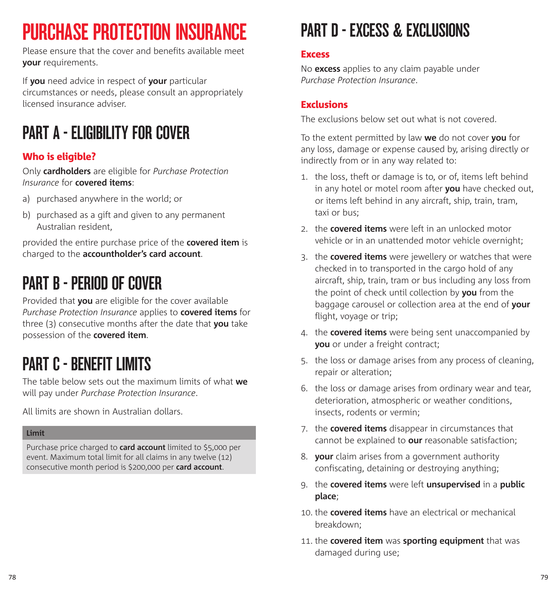# PURCHASE PROTECTION INSURANCE

Please ensure that the cover and benefits available meet **your** requirements.

If **you** need advice in respect of **your** particular circumstances or needs, please consult an appropriately licensed insurance adviser.

# PART A - ELIGIBILITY FOR COVER

## Who is eligible?

Only **cardholders** are eligible for *Purchase Protection Insurance* for **covered items**:

- a) purchased anywhere in the world; or
- b) purchased as a gift and given to any permanent Australian resident,

provided the entire purchase price of the **covered item** is charged to the **accountholder's card account**.

## PART B - PERIOD OF COVER

Provided that **you** are eligible for the cover available *Purchase Protection Insurance* applies to **covered items** for three (3) consecutive months after the date that **you** take possession of the **covered item**.

# PART C - RENEFIT LIMITS

The table below sets out the maximum limits of what **we**  will pay under *Purchase Protection Insurance*.

All limits are shown in Australian dollars.

#### **Limit**

Purchase price charged to **card account** limited to \$5,000 per event. Maximum total limit for all claims in any twelve (12) consecutive month period is \$200,000 per **card account**.

# PART D - EXCESS & EXCLUSIONS

### **Excess**

No **excess** applies to any claim payable under *Purchase Protection Insurance*.

## Exclusions

The exclusions below set out what is not covered.

To the extent permitted by law **we** do not cover **you** for any loss, damage or expense caused by, arising directly or indirectly from or in any way related to:

- 1. the loss, theft or damage is to, or of, items left behind in any hotel or motel room after **you** have checked out, or items left behind in any aircraft, ship, train, tram, taxi or bus;
- 2. the **covered items** were left in an unlocked motor vehicle or in an unattended motor vehicle overnight;
- 3. the **covered items** were jewellery or watches that were checked in to transported in the cargo hold of any aircraft, ship, train, tram or bus including any loss from the point of check until collection by **you** from the baggage carousel or collection area at the end of **your**  flight, voyage or trip;
- 4. the **covered items** were being sent unaccompanied by **you** or under a freight contract;
- 5. the loss or damage arises from any process of cleaning, repair or alteration;
- 6. the loss or damage arises from ordinary wear and tear, deterioration, atmospheric or weather conditions, insects, rodents or vermin;
- 7. the **covered items** disappear in circumstances that cannot be explained to **our** reasonable satisfaction;
- 8. **your** claim arises from a government authority confiscating, detaining or destroying anything;
- 9. the **covered items** were left **unsupervised** in a **public place**;
- 10. the **covered items** have an electrical or mechanical breakdown;
- 11. the **covered item** was **sporting equipment** that was damaged during use;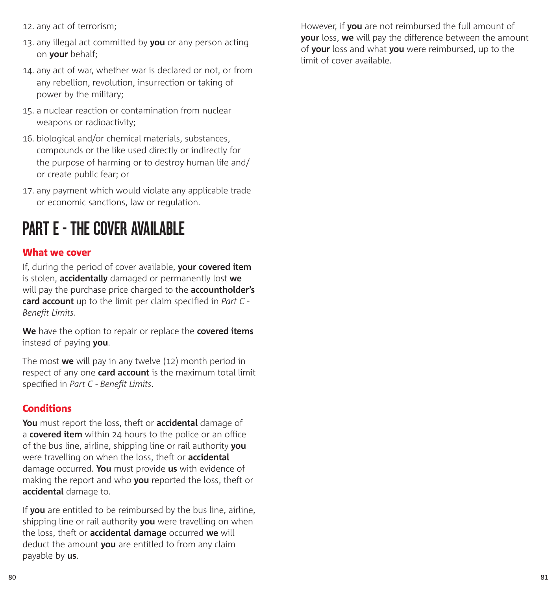- 12. any act of terrorism;
- 13. any illegal act committed by **you** or any person acting on **your** behalf;
- 14. any act of war, whether war is declared or not, or from any rebellion, revolution, insurrection or taking of power by the military;
- 15. a nuclear reaction or contamination from nuclear weapons or radioactivity;
- 16. biological and/or chemical materials, substances, compounds or the like used directly or indirectly for the purpose of harming or to destroy human life and/ or create public fear; or
- 17. any payment which would violate any applicable trade or economic sanctions, law or regulation.

## PART E - THE COVER AVAILARLE

### What we cover

If, during the period of cover available, **your covered item** is stolen, **accidentally** damaged or permanently lost **we** will pay the purchase price charged to the **accountholder's card account** up to the limit per claim specified in *Part C - Benefit Limits*.

**We** have the option to repair or replace the **covered items** instead of paying **you**.

The most **we** will pay in any twelve (12) month period in respect of any one **card account** is the maximum total limit specified in *Part C - Benefit Limits*.

## **Conditions**

**You** must report the loss, theft or **accidental** damage of a **covered item** within 24 hours to the police or an office of the bus line, airline, shipping line or rail authority **you**  were travelling on when the loss, theft or **accidental**  damage occurred. **You** must provide **us** with evidence of making the report and who **you** reported the loss, theft or **accidental** damage to.

If **you** are entitled to be reimbursed by the bus line, airline, shipping line or rail authority **you** were travelling on when the loss, theft or **accidental damage** occurred **we** will deduct the amount **you** are entitled to from any claim payable by **us**.

However, if **you** are not reimbursed the full amount of **your** loss, **we** will pay the difference between the amount of **your** loss and what **you** were reimbursed, up to the limit of cover available.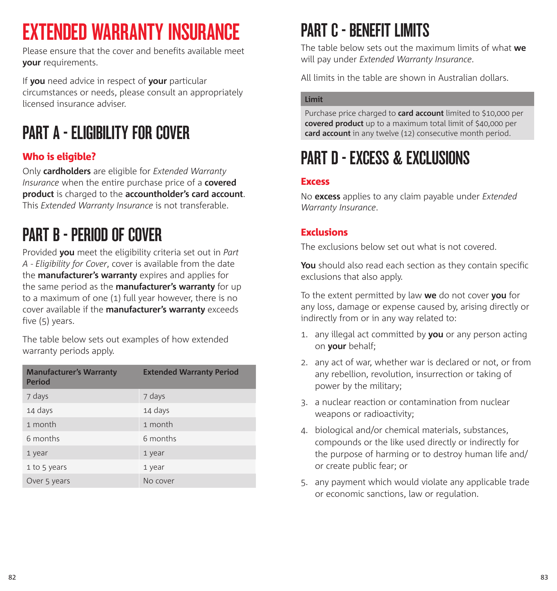# EXTENDED WARRANTY INSURANCE

Please ensure that the cover and benefits available meet **your** requirements.

If **you** need advice in respect of **your** particular circumstances or needs, please consult an appropriately licensed insurance adviser.

# PART A - ELIGIBILITY FOR COVER

## Who is eligible?

Only **cardholders** are eligible for *Extended Warranty Insurance* when the entire purchase price of a **covered product** is charged to the **accountholder's card account**. This *Extended Warranty Insurance* is not transferable.

# PART B - PERIOD OF COVER

Provided **you** meet the eligibility criteria set out in *Part A - Eligibility for Cover*, cover is available from the date the **manufacturer's warranty** expires and applies for the same period as the **manufacturer's warranty** for up to a maximum of one (1) full year however, there is no cover available if the **manufacturer's warranty** exceeds five (5) years.

The table below sets out examples of how extended warranty periods apply.

| <b>Manufacturer's Warranty</b><br><b>Period</b> | <b>Extended Warranty Period</b> |
|-------------------------------------------------|---------------------------------|
| 7 days                                          | 7 days                          |
| 14 days                                         | 14 days                         |
| 1 month                                         | 1 month                         |
| 6 months                                        | 6 months                        |
| 1 year                                          | 1 year                          |
| 1 to 5 years                                    | 1 year                          |
| Over 5 years                                    | No cover                        |

# PART C - RENFEIT LIMITS

The table below sets out the maximum limits of what **we** will pay under *Extended Warranty Insurance*.

All limits in the table are shown in Australian dollars.

#### **Limit**

Purchase price charged to **card account** limited to \$10,000 per **covered product** up to a maximum total limit of \$40,000 per **card account** in any twelve (12) consecutive month period.

# PART D - EXCESS & EXCLUSIONS

### Excess

No **excess** applies to any claim payable under *Extended Warranty Insurance*.

## **Exclusions**

The exclusions below set out what is not covered.

**You** should also read each section as they contain specific exclusions that also apply.

To the extent permitted by law **we** do not cover **you** for any loss, damage or expense caused by, arising directly or indirectly from or in any way related to:

- 1. any illegal act committed by **you** or any person acting on **your** behalf;
- 2. any act of war, whether war is declared or not, or from any rebellion, revolution, insurrection or taking of power by the military;
- 3. a nuclear reaction or contamination from nuclear weapons or radioactivity;
- 4. biological and/or chemical materials, substances, compounds or the like used directly or indirectly for the purpose of harming or to destroy human life and/ or create public fear; or
- 5. any payment which would violate any applicable trade or economic sanctions, law or regulation.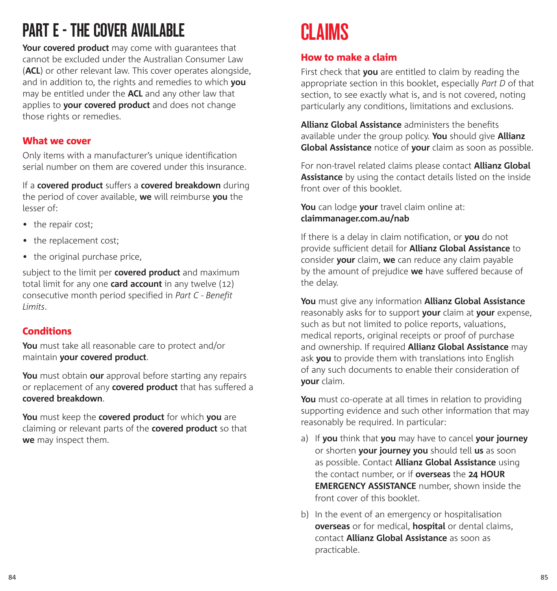# PART F - THE COVER AVAILARLE

**Your covered product** may come with guarantees that cannot be excluded under the Australian Consumer Law (**ACL**) or other relevant law. This cover operates alongside, and in addition to, the rights and remedies to which **you** may be entitled under the **ACL** and any other law that applies to **your covered product** and does not change those rights or remedies.

### What we cover

Only items with a manufacturer's unique identification serial number on them are covered under this insurance.

If a **covered product** suffers a **covered breakdown** during the period of cover available, **we** will reimburse **you** the lesser of:

- the repair cost;
- the replacement cost:
- the original purchase price,

subject to the limit per **covered product** and maximum total limit for any one **card account** in any twelve (12) consecutive month period specified in *Part C - Benefit Limits*.

## Conditions

**You** must take all reasonable care to protect and/or maintain **your covered product**.

**You** must obtain **our** approval before starting any repairs or replacement of any **covered product** that has suffered a **covered breakdown**.

**You** must keep the **covered product** for which **you** are claiming or relevant parts of the **covered product** so that **we** may inspect them.

# **CLAIMS**

### How to make a claim

First check that **you** are entitled to claim by reading the appropriate section in this booklet, especially *Part D* of that section, to see exactly what is, and is not covered, noting particularly any conditions, limitations and exclusions.

**Allianz Global Assistance** administers the benefits available under the group policy. **You** should give **Allianz Global Assistance** notice of **your** claim as soon as possible.

For non-travel related claims please contact **Allianz Global Assistance** by using the contact details listed on the inside front over of this booklet.

**You** can lodge **your** travel claim online at: **claimmanager.com.au/nab**

If there is a delay in claim notification, or **you** do not provide sufficient detail for **Allianz Global Assistance** to consider **your** claim, **we** can reduce any claim payable by the amount of prejudice **we** have suffered because of the delay.

**You** must give any information **Allianz Global Assistance** reasonably asks for to support **your** claim at **your** expense, such as but not limited to police reports, valuations, medical reports, original receipts or proof of purchase and ownership. If required **Allianz Global Assistance** may ask **you** to provide them with translations into English of any such documents to enable their consideration of **your** claim.

**You** must co-operate at all times in relation to providing supporting evidence and such other information that may reasonably be required. In particular:

- a) If **you** think that **you** may have to cancel **your journey** or shorten **your journey you** should tell **us** as soon as possible. Contact **Allianz Global Assistance** using the contact number, or if **overseas** the **24 HOUR EMERGENCY ASSISTANCE** number, shown inside the front cover of this booklet.
- b) In the event of an emergency or hospitalisation **overseas** or for medical, **hospital** or dental claims, contact **Allianz Global Assistance** as soon as practicable.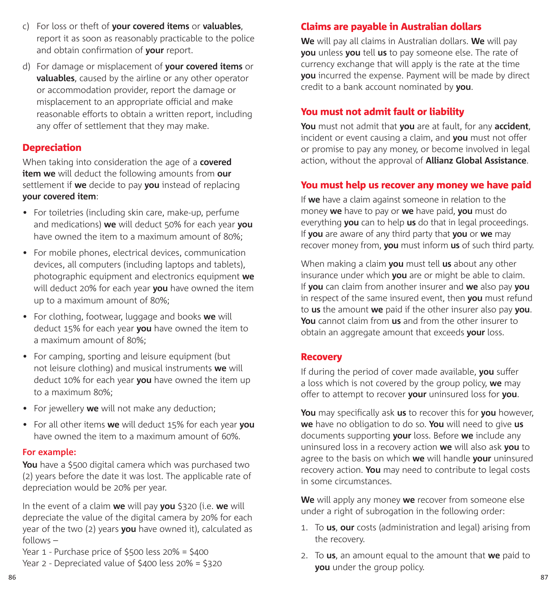- c) For loss or theft of **your covered items** or **valuables**, report it as soon as reasonably practicable to the police and obtain confirmation of **your** report.
- d) For damage or misplacement of **your covered items** or **valuables**, caused by the airline or any other operator or accommodation provider, report the damage or misplacement to an appropriate official and make reasonable efforts to obtain a written report, including any offer of settlement that they may make.

## **Depreciation**

When taking into consideration the age of a **covered item we** will deduct the following amounts from **our** settlement if **we** decide to pay **you** instead of replacing **your covered item**:

- For toiletries (including skin care, make-up, perfume and medications) **we** will deduct 50% for each year **you**  have owned the item to a maximum amount of 80%;
- For mobile phones, electrical devices, communication devices, all computers (including laptops and tablets), photographic equipment and electronics equipment **we**  will deduct 20% for each year **you** have owned the item up to a maximum amount of 80%;
- For clothing, footwear, luggage and books **we** will deduct 15% for each year **you** have owned the item to a maximum amount of 80%;
- For camping, sporting and leisure equipment (but not leisure clothing) and musical instruments **we** will deduct 10% for each year **you** have owned the item up to a maximum 80%;
- For jewellery **we** will not make any deduction;
- For all other items **we** will deduct 15% for each year **you**  have owned the item to a maximum amount of 60%.

### **For example:**

**You** have a \$500 digital camera which was purchased two (2) years before the date it was lost. The applicable rate of depreciation would be 20% per year.

In the event of a claim **we** will pay **you** \$320 (i.e. **we** will depreciate the value of the digital camera by 20% for each year of the two (2) years **you** have owned it), calculated as follows –

Year 1 - Purchase price of \$500 less 20% = \$400

Year 2 - Depreciated value of \$400 less 20% = \$320

## Claims are payable in Australian dollars

**We** will pay all claims in Australian dollars. **We** will pay **you** unless **you** tell **us** to pay someone else. The rate of currency exchange that will apply is the rate at the time **you** incurred the expense. Payment will be made by direct credit to a bank account nominated by **you**.

## You must not admit fault or liability

**You** must not admit that **you** are at fault, for any **accident**, incident or event causing a claim, and **you** must not offer or promise to pay any money, or become involved in legal action, without the approval of **Allianz Global Assistance**.

### You must help us recover any money we have paid

If **we** have a claim against someone in relation to the money **we** have to pay or **we** have paid, **you** must do everything **you** can to help **us** do that in legal proceedings. If **you** are aware of any third party that **you** or **we** may recover money from, **you** must inform **us** of such third party.

When making a claim **you** must tell **us** about any other insurance under which **you** are or might be able to claim. If **you** can claim from another insurer and **we** also pay **you**  in respect of the same insured event, then **you** must refund to **us** the amount **we** paid if the other insurer also pay **you**. **You** cannot claim from **us** and from the other insurer to obtain an aggregate amount that exceeds **your** loss.

### Recovery

If during the period of cover made available, **you** suffer a loss which is not covered by the group policy, **we** may offer to attempt to recover **your** uninsured loss for **you**.

**You** may specifically ask **us** to recover this for **you** however, **we** have no obligation to do so. **You** will need to give **us** documents supporting **your** loss. Before **we** include any uninsured loss in a recovery action **we** will also ask **you** to agree to the basis on which **we** will handle **your** uninsured recovery action. **You** may need to contribute to legal costs in some circumstances.

**We** will apply any money **we** recover from someone else under a right of subrogation in the following order:

- 1. To **us**, **our** costs (administration and legal) arising from the recovery.
- 2. To **us**, an amount equal to the amount that **we** paid to **you** under the group policy.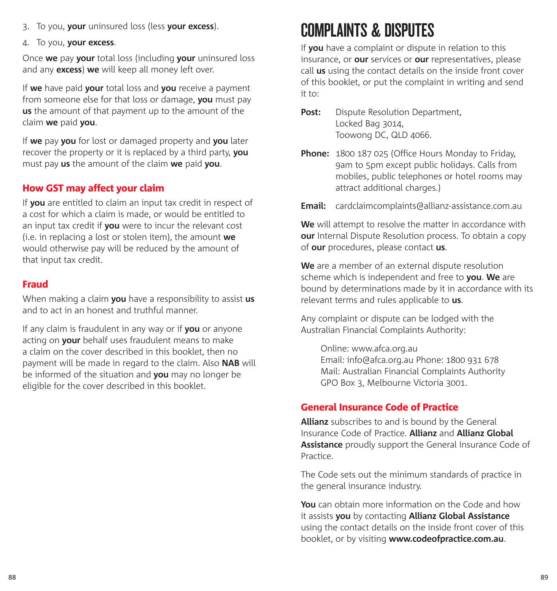- 3. To you, **your** uninsured loss (less **your excess**).
- 4. To you, **your excess**.

Once **we** pay **your** total loss (including **your** uninsured loss and any **excess**) **we** will keep all money left over.

If **we** have paid **your** total loss and **you** receive a payment from someone else for that loss or damage, **you** must pay **us** the amount of that payment up to the amount of the claim **we** paid **you**.

If **we** pay **you** for lost or damaged property and **you** later recover the property or it is replaced by a third party, **you**  must pay **us** the amount of the claim **we** paid **you**.

## How GST may affect your claim

If **you** are entitled to claim an input tax credit in respect of a cost for which a claim is made, or would be entitled to an input tax credit if **you** were to incur the relevant cost (i.e. in replacing a lost or stolen item), the amount **we**  would otherwise pay will be reduced by the amount of that input tax credit.

## Fraud

When making a claim **you** have a responsibility to assist **us** and to act in an honest and truthful manner.

If any claim is fraudulent in any way or if **you** or anyone acting on **your** behalf uses fraudulent means to make a claim on the cover described in this booklet, then no payment will be made in regard to the claim. Also **NAB** will be informed of the situation and **you** may no longer be eligible for the cover described in this booklet.

## COMPLAINTS & DISPUTES

If **you** have a complaint or dispute in relation to this insurance, or **our** services or **our** representatives, please call **us** using the contact details on the inside front cover of this booklet, or put the complaint in writing and send it to:

- **Post:** Dispute Resolution Department, Locked Bag 3014, Toowong DC, QLD 4066.
- **Phone:** 1800 187 025 (Office Hours Monday to Friday, 9am to 5pm except public holidays. Calls from mobiles, public telephones or hotel rooms may attract additional charges.)
- **Email:** cardclaimcomplaints@allianz-assistance.com.au

**We** will attempt to resolve the matter in accordance with **our** Internal Dispute Resolution process. To obtain a copy of **our** procedures, please contact **us**.

**We** are a member of an external dispute resolution scheme which is independent and free to **you**. **We** are bound by determinations made by it in accordance with its relevant terms and rules applicable to **us**.

Any complaint or dispute can be lodged with the Australian Financial Complaints Authority:

 Online: www.afca.org.au Email: info@afca.org.au Phone: 1800 931 678 Mail: Australian Financial Complaints Authority GPO Box 3, Melbourne Victoria 3001.

## General Insurance Code of Practice

**Allianz** subscribes to and is bound by the General Insurance Code of Practice. **Allianz** and **Allianz Global Assistance** proudly support the General Insurance Code of Practice.

The Code sets out the minimum standards of practice in the general insurance industry.

**You** can obtain more information on the Code and how it assists **you** by contacting **Allianz Global Assistance** using the contact details on the inside front cover of this booklet, or by visiting **www.codeofpractice.com.au**.